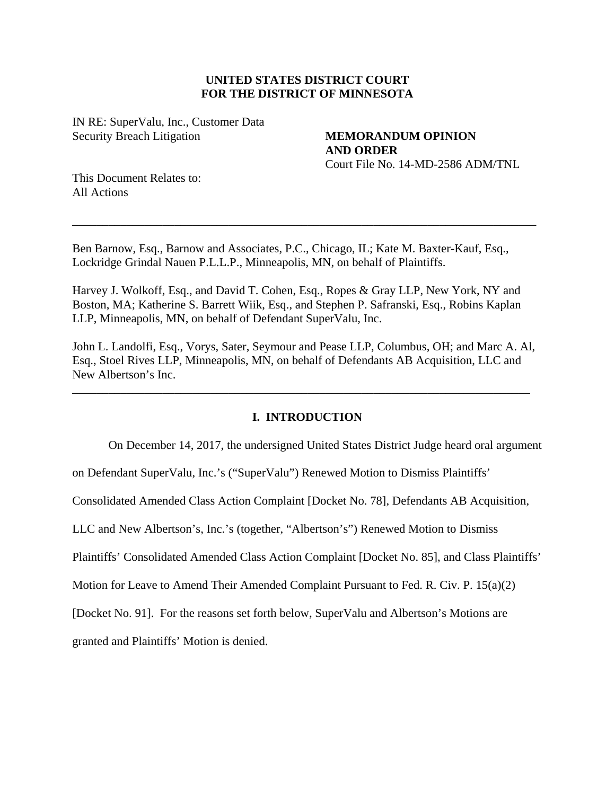# **UNITED STATES DISTRICT COURT FOR THE DISTRICT OF MINNESOTA**

IN RE: SuperValu, Inc., Customer Data Security Breach Litigation **MEMORANDUM OPINION** 

**AND ORDER**  Court File No. 14-MD-2586 ADM/TNL

This Document Relates to: All Actions

Ben Barnow, Esq., Barnow and Associates, P.C., Chicago, IL; Kate M. Baxter-Kauf, Esq., Lockridge Grindal Nauen P.L.L.P., Minneapolis, MN, on behalf of Plaintiffs.

\_\_\_\_\_\_\_\_\_\_\_\_\_\_\_\_\_\_\_\_\_\_\_\_\_\_\_\_\_\_\_\_\_\_\_\_\_\_\_\_\_\_\_\_\_\_\_\_\_\_\_\_\_\_\_\_\_\_\_\_\_\_\_\_\_\_\_\_\_\_\_\_\_\_\_\_\_

Harvey J. Wolkoff, Esq., and David T. Cohen, Esq., Ropes & Gray LLP, New York, NY and Boston, MA; Katherine S. Barrett Wiik, Esq., and Stephen P. Safranski, Esq., Robins Kaplan LLP, Minneapolis, MN, on behalf of Defendant SuperValu, Inc.

John L. Landolfi, Esq., Vorys, Sater, Seymour and Pease LLP, Columbus, OH; and Marc A. Al, Esq., Stoel Rives LLP, Minneapolis, MN, on behalf of Defendants AB Acquisition, LLC and New Albertson's Inc.

\_\_\_\_\_\_\_\_\_\_\_\_\_\_\_\_\_\_\_\_\_\_\_\_\_\_\_\_\_\_\_\_\_\_\_\_\_\_\_\_\_\_\_\_\_\_\_\_\_\_\_\_\_\_\_\_\_\_\_\_\_\_\_\_\_\_\_\_\_\_\_\_\_\_\_\_

# **I. INTRODUCTION**

On December 14, 2017, the undersigned United States District Judge heard oral argument

on Defendant SuperValu, Inc.'s ("SuperValu") Renewed Motion to Dismiss Plaintiffs'

Consolidated Amended Class Action Complaint [Docket No. 78], Defendants AB Acquisition,

LLC and New Albertson's, Inc.'s (together, "Albertson's") Renewed Motion to Dismiss

Plaintiffs' Consolidated Amended Class Action Complaint [Docket No. 85], and Class Plaintiffs'

Motion for Leave to Amend Their Amended Complaint Pursuant to Fed. R. Civ. P. 15(a)(2)

[Docket No. 91]. For the reasons set forth below, SuperValu and Albertson's Motions are

granted and Plaintiffs' Motion is denied.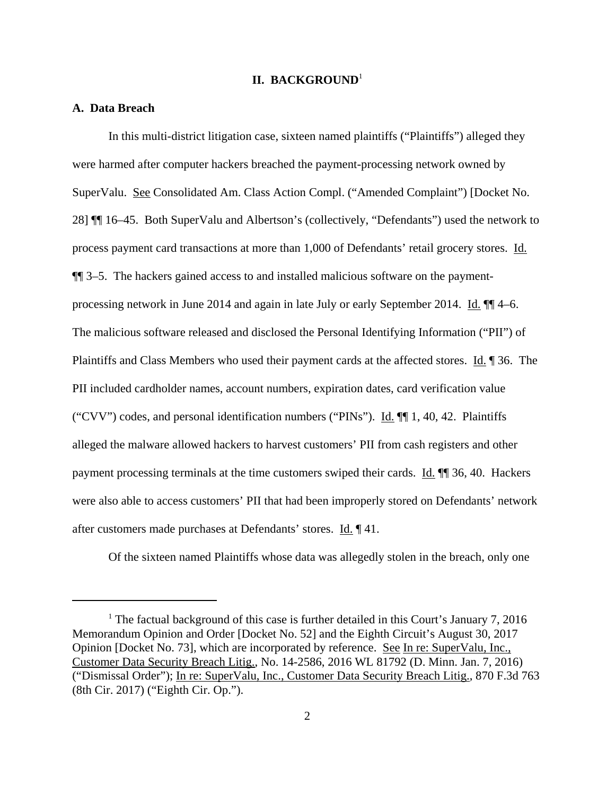### **II. BACKGROUND**<sup>1</sup>

### **A. Data Breach**

In this multi-district litigation case, sixteen named plaintiffs ("Plaintiffs") alleged they were harmed after computer hackers breached the payment-processing network owned by SuperValu. See Consolidated Am. Class Action Compl. ("Amended Complaint") [Docket No. 28] ¶¶ 16–45. Both SuperValu and Albertson's (collectively, "Defendants") used the network to process payment card transactions at more than 1,000 of Defendants' retail grocery stores. Id. ¶¶ 3–5. The hackers gained access to and installed malicious software on the paymentprocessing network in June 2014 and again in late July or early September 2014. Id. ¶¶ 4–6. The malicious software released and disclosed the Personal Identifying Information ("PII") of Plaintiffs and Class Members who used their payment cards at the affected stores. Id. 1 36. The PII included cardholder names, account numbers, expiration dates, card verification value ("CVV") codes, and personal identification numbers ("PINs"). Id.  $\P$ [[1, 40, 42. Plaintiffs] alleged the malware allowed hackers to harvest customers' PII from cash registers and other payment processing terminals at the time customers swiped their cards. Id. ¶¶ 36, 40. Hackers were also able to access customers' PII that had been improperly stored on Defendants' network after customers made purchases at Defendants' stores. Id. ¶ 41.

Of the sixteen named Plaintiffs whose data was allegedly stolen in the breach, only one

<sup>&</sup>lt;sup>1</sup> The factual background of this case is further detailed in this Court's January 7, 2016 Memorandum Opinion and Order [Docket No. 52] and the Eighth Circuit's August 30, 2017 Opinion [Docket No. 73], which are incorporated by reference. See In re: SuperValu, Inc., Customer Data Security Breach Litig., No. 14-2586, 2016 WL 81792 (D. Minn. Jan. 7, 2016) ("Dismissal Order"); In re: SuperValu, Inc., Customer Data Security Breach Litig., 870 F.3d 763 (8th Cir. 2017) ("Eighth Cir. Op.").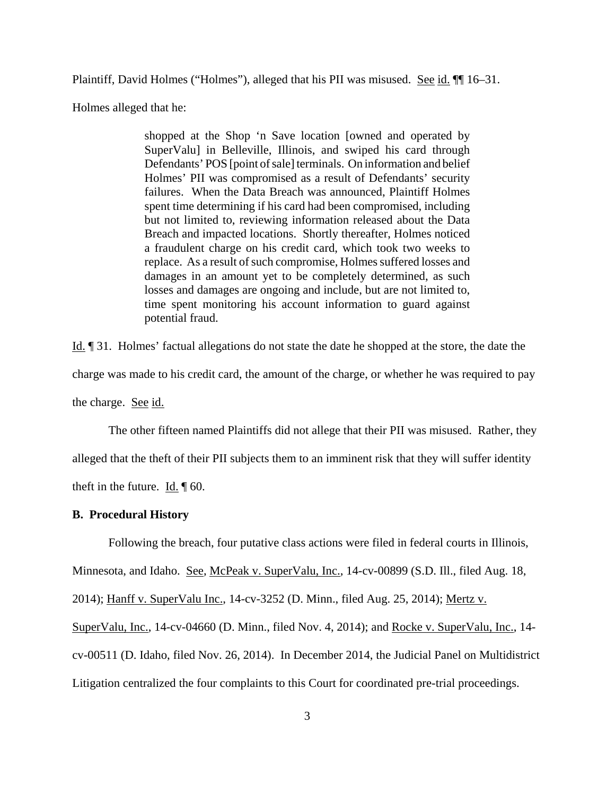Plaintiff, David Holmes ("Holmes"), alleged that his PII was misused. See id.  $\P$ [16–31.

Holmes alleged that he:

shopped at the Shop 'n Save location [owned and operated by SuperValu] in Belleville, Illinois, and swiped his card through Defendants' POS [point of sale] terminals. On information and belief Holmes' PII was compromised as a result of Defendants' security failures. When the Data Breach was announced, Plaintiff Holmes spent time determining if his card had been compromised, including but not limited to, reviewing information released about the Data Breach and impacted locations. Shortly thereafter, Holmes noticed a fraudulent charge on his credit card, which took two weeks to replace. As a result of such compromise, Holmes suffered losses and damages in an amount yet to be completely determined, as such losses and damages are ongoing and include, but are not limited to, time spent monitoring his account information to guard against potential fraud.

Id. ¶ 31. Holmes' factual allegations do not state the date he shopped at the store, the date the charge was made to his credit card, the amount of the charge, or whether he was required to pay the charge. See id.

The other fifteen named Plaintiffs did not allege that their PII was misused. Rather, they alleged that the theft of their PII subjects them to an imminent risk that they will suffer identity theft in the future. Id. ¶ 60.

### **B. Procedural History**

Following the breach, four putative class actions were filed in federal courts in Illinois,

Minnesota, and Idaho. See, McPeak v. SuperValu, Inc., 14-cv-00899 (S.D. Ill., filed Aug. 18,

2014); Hanff v. SuperValu Inc., 14-cv-3252 (D. Minn., filed Aug. 25, 2014); Mertz v.

SuperValu, Inc., 14-cv-04660 (D. Minn., filed Nov. 4, 2014); and Rocke v. SuperValu, Inc., 14 cv-00511 (D. Idaho, filed Nov. 26, 2014). In December 2014, the Judicial Panel on Multidistrict

Litigation centralized the four complaints to this Court for coordinated pre-trial proceedings.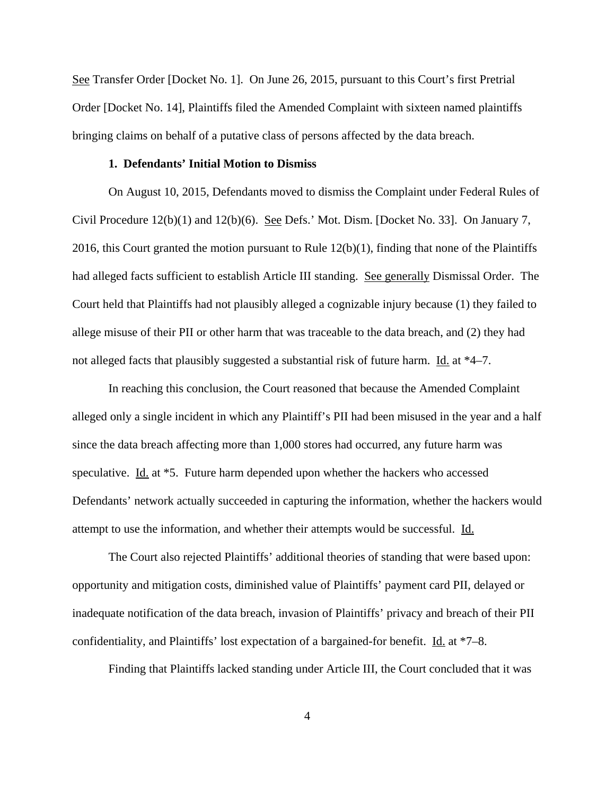See Transfer Order [Docket No. 1]. On June 26, 2015, pursuant to this Court's first Pretrial Order [Docket No. 14], Plaintiffs filed the Amended Complaint with sixteen named plaintiffs bringing claims on behalf of a putative class of persons affected by the data breach.

### **1. Defendants' Initial Motion to Dismiss**

On August 10, 2015, Defendants moved to dismiss the Complaint under Federal Rules of Civil Procedure 12(b)(1) and 12(b)(6). See Defs.' Mot. Dism. [Docket No. 33]. On January 7, 2016, this Court granted the motion pursuant to Rule 12(b)(1), finding that none of the Plaintiffs had alleged facts sufficient to establish Article III standing. See generally Dismissal Order. The Court held that Plaintiffs had not plausibly alleged a cognizable injury because (1) they failed to allege misuse of their PII or other harm that was traceable to the data breach, and (2) they had not alleged facts that plausibly suggested a substantial risk of future harm. Id. at \*4–7.

In reaching this conclusion, the Court reasoned that because the Amended Complaint alleged only a single incident in which any Plaintiff's PII had been misused in the year and a half since the data breach affecting more than 1,000 stores had occurred, any future harm was speculative. Id. at \*5. Future harm depended upon whether the hackers who accessed Defendants' network actually succeeded in capturing the information, whether the hackers would attempt to use the information, and whether their attempts would be successful. Id.

The Court also rejected Plaintiffs' additional theories of standing that were based upon: opportunity and mitigation costs, diminished value of Plaintiffs' payment card PII, delayed or inadequate notification of the data breach, invasion of Plaintiffs' privacy and breach of their PII confidentiality, and Plaintiffs' lost expectation of a bargained-for benefit. Id. at \*7–8.

Finding that Plaintiffs lacked standing under Article III, the Court concluded that it was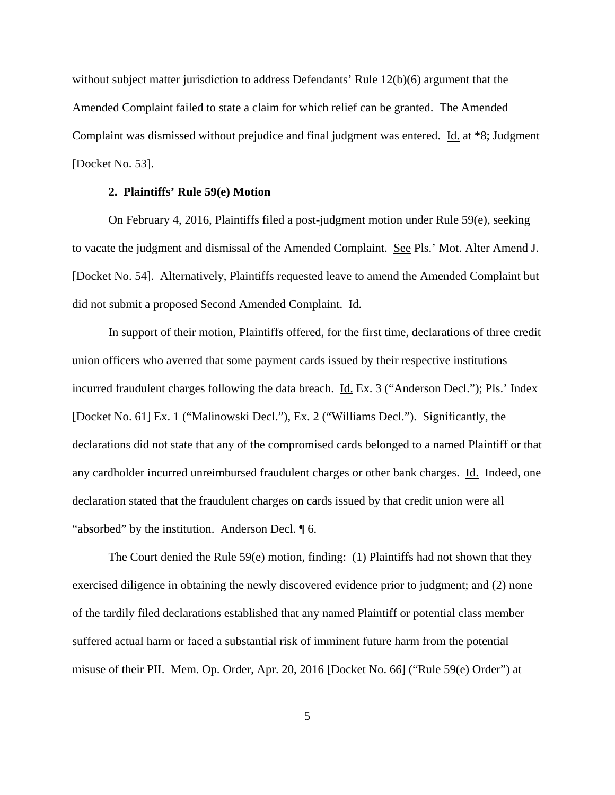without subject matter jurisdiction to address Defendants' Rule 12(b)(6) argument that the Amended Complaint failed to state a claim for which relief can be granted. The Amended Complaint was dismissed without prejudice and final judgment was entered. Id. at \*8; Judgment [Docket No. 53].

### **2. Plaintiffs' Rule 59(e) Motion**

On February 4, 2016, Plaintiffs filed a post-judgment motion under Rule 59(e), seeking to vacate the judgment and dismissal of the Amended Complaint. See Pls.' Mot. Alter Amend J. [Docket No. 54]. Alternatively, Plaintiffs requested leave to amend the Amended Complaint but did not submit a proposed Second Amended Complaint. Id.

In support of their motion, Plaintiffs offered, for the first time, declarations of three credit union officers who averred that some payment cards issued by their respective institutions incurred fraudulent charges following the data breach. <u>Id.</u> Ex. 3 ("Anderson Decl."); Pls.' Index [Docket No. 61] Ex. 1 ("Malinowski Decl."), Ex. 2 ("Williams Decl."). Significantly, the declarations did not state that any of the compromised cards belonged to a named Plaintiff or that any cardholder incurred unreimbursed fraudulent charges or other bank charges. Id. Indeed, one declaration stated that the fraudulent charges on cards issued by that credit union were all "absorbed" by the institution. Anderson Decl. ¶ 6.

The Court denied the Rule 59(e) motion, finding: (1) Plaintiffs had not shown that they exercised diligence in obtaining the newly discovered evidence prior to judgment; and (2) none of the tardily filed declarations established that any named Plaintiff or potential class member suffered actual harm or faced a substantial risk of imminent future harm from the potential misuse of their PII. Mem. Op. Order, Apr. 20, 2016 [Docket No. 66] ("Rule 59(e) Order") at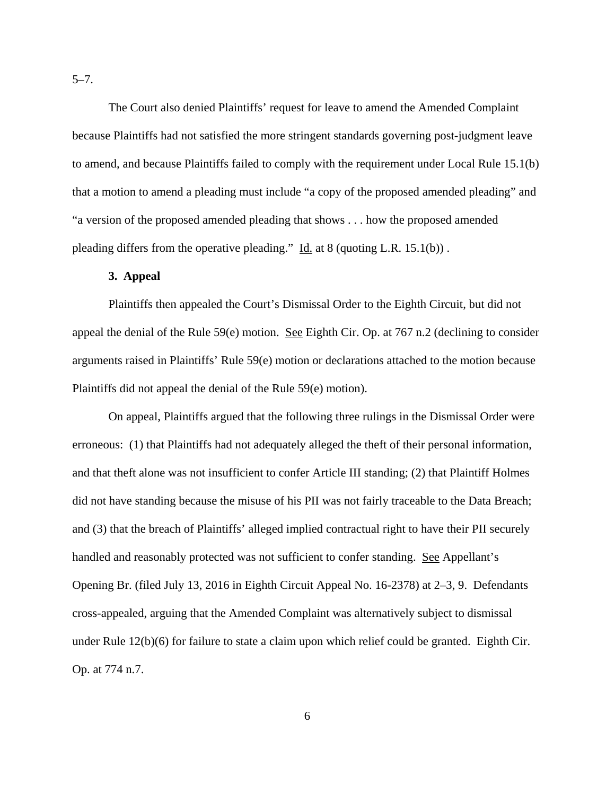The Court also denied Plaintiffs' request for leave to amend the Amended Complaint because Plaintiffs had not satisfied the more stringent standards governing post-judgment leave to amend, and because Plaintiffs failed to comply with the requirement under Local Rule 15.1(b) that a motion to amend a pleading must include "a copy of the proposed amended pleading" and "a version of the proposed amended pleading that shows . . . how the proposed amended pleading differs from the operative pleading." Id. at 8 (quoting L.R. 15.1(b)).

### **3. Appeal**

Plaintiffs then appealed the Court's Dismissal Order to the Eighth Circuit, but did not appeal the denial of the Rule 59(e) motion. See Eighth Cir. Op. at 767 n.2 (declining to consider arguments raised in Plaintiffs' Rule 59(e) motion or declarations attached to the motion because Plaintiffs did not appeal the denial of the Rule 59(e) motion).

On appeal, Plaintiffs argued that the following three rulings in the Dismissal Order were erroneous: (1) that Plaintiffs had not adequately alleged the theft of their personal information, and that theft alone was not insufficient to confer Article III standing; (2) that Plaintiff Holmes did not have standing because the misuse of his PII was not fairly traceable to the Data Breach; and (3) that the breach of Plaintiffs' alleged implied contractual right to have their PII securely handled and reasonably protected was not sufficient to confer standing. See Appellant's Opening Br. (filed July 13, 2016 in Eighth Circuit Appeal No. 16-2378) at 2–3, 9. Defendants cross-appealed, arguing that the Amended Complaint was alternatively subject to dismissal under Rule 12(b)(6) for failure to state a claim upon which relief could be granted. Eighth Cir. Op. at 774 n.7.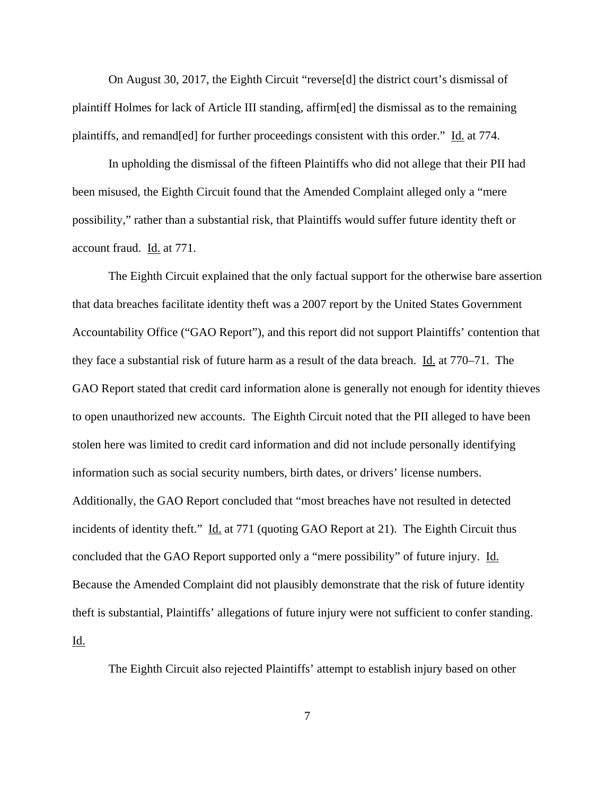On August 30, 2017, the Eighth Circuit "reverse[d] the district court's dismissal of plaintiff Holmes for lack of Article III standing, affirm[ed] the dismissal as to the remaining plaintiffs, and remand[ed] for further proceedings consistent with this order." Id. at 774.

In upholding the dismissal of the fifteen Plaintiffs who did not allege that their PII had been misused, the Eighth Circuit found that the Amended Complaint alleged only a "mere possibility," rather than a substantial risk, that Plaintiffs would suffer future identity theft or account fraud. Id. at 771.

The Eighth Circuit explained that the only factual support for the otherwise bare assertion that data breaches facilitate identity theft was a 2007 report by the United States Government Accountability Office ("GAO Report"), and this report did not support Plaintiffs' contention that they face a substantial risk of future harm as a result of the data breach. Id. at 770–71. The GAO Report stated that credit card information alone is generally not enough for identity thieves to open unauthorized new accounts. The Eighth Circuit noted that the PII alleged to have been stolen here was limited to credit card information and did not include personally identifying information such as social security numbers, birth dates, or drivers' license numbers. Additionally, the GAO Report concluded that "most breaches have not resulted in detected incidents of identity theft." Id. at 771 (quoting GAO Report at 21). The Eighth Circuit thus concluded that the GAO Report supported only a "mere possibility" of future injury. Id. Because the Amended Complaint did not plausibly demonstrate that the risk of future identity theft is substantial, Plaintiffs' allegations of future injury were not sufficient to confer standing. Id.

The Eighth Circuit also rejected Plaintiffs' attempt to establish injury based on other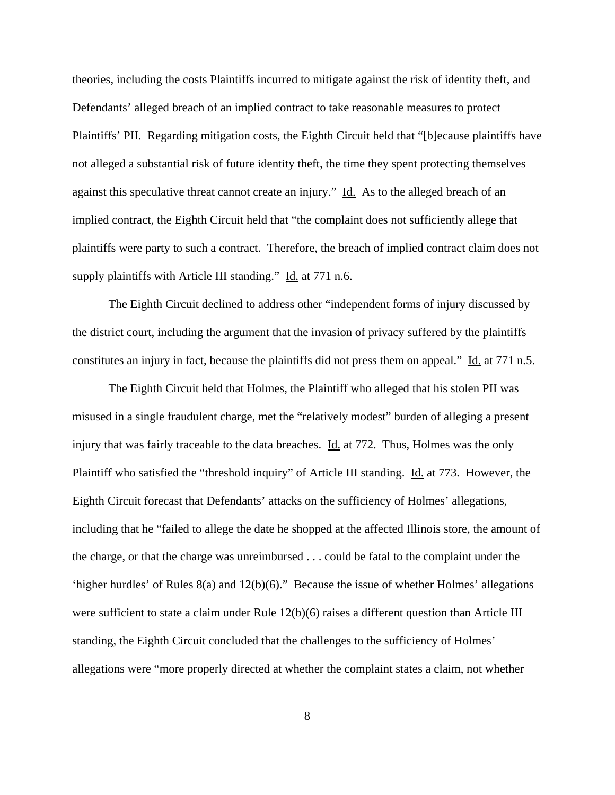theories, including the costs Plaintiffs incurred to mitigate against the risk of identity theft, and Defendants' alleged breach of an implied contract to take reasonable measures to protect Plaintiffs' PII. Regarding mitigation costs, the Eighth Circuit held that "[b]ecause plaintiffs have not alleged a substantial risk of future identity theft, the time they spent protecting themselves against this speculative threat cannot create an injury." Id. As to the alleged breach of an implied contract, the Eighth Circuit held that "the complaint does not sufficiently allege that plaintiffs were party to such a contract. Therefore, the breach of implied contract claim does not supply plaintiffs with Article III standing." Id. at 771 n.6.

The Eighth Circuit declined to address other "independent forms of injury discussed by the district court, including the argument that the invasion of privacy suffered by the plaintiffs constitutes an injury in fact, because the plaintiffs did not press them on appeal." Id. at 771 n.5.

The Eighth Circuit held that Holmes, the Plaintiff who alleged that his stolen PII was misused in a single fraudulent charge, met the "relatively modest" burden of alleging a present injury that was fairly traceable to the data breaches. Id. at 772. Thus, Holmes was the only Plaintiff who satisfied the "threshold inquiry" of Article III standing. Id. at 773. However, the Eighth Circuit forecast that Defendants' attacks on the sufficiency of Holmes' allegations, including that he "failed to allege the date he shopped at the affected Illinois store, the amount of the charge, or that the charge was unreimbursed . . . could be fatal to the complaint under the 'higher hurdles' of Rules 8(a) and 12(b)(6)." Because the issue of whether Holmes' allegations were sufficient to state a claim under Rule 12(b)(6) raises a different question than Article III standing, the Eighth Circuit concluded that the challenges to the sufficiency of Holmes' allegations were "more properly directed at whether the complaint states a claim, not whether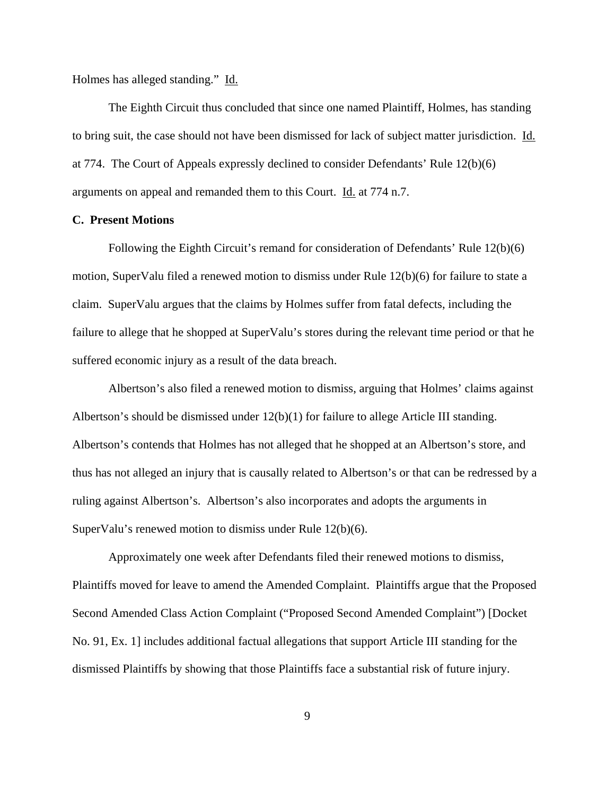Holmes has alleged standing." Id.

The Eighth Circuit thus concluded that since one named Plaintiff, Holmes, has standing to bring suit, the case should not have been dismissed for lack of subject matter jurisdiction. Id. at 774. The Court of Appeals expressly declined to consider Defendants' Rule 12(b)(6) arguments on appeal and remanded them to this Court. Id. at 774 n.7.

### **C. Present Motions**

Following the Eighth Circuit's remand for consideration of Defendants' Rule 12(b)(6) motion, SuperValu filed a renewed motion to dismiss under Rule 12(b)(6) for failure to state a claim. SuperValu argues that the claims by Holmes suffer from fatal defects, including the failure to allege that he shopped at SuperValu's stores during the relevant time period or that he suffered economic injury as a result of the data breach.

Albertson's also filed a renewed motion to dismiss, arguing that Holmes' claims against Albertson's should be dismissed under  $12(b)(1)$  for failure to allege Article III standing. Albertson's contends that Holmes has not alleged that he shopped at an Albertson's store, and thus has not alleged an injury that is causally related to Albertson's or that can be redressed by a ruling against Albertson's. Albertson's also incorporates and adopts the arguments in SuperValu's renewed motion to dismiss under Rule 12(b)(6).

Approximately one week after Defendants filed their renewed motions to dismiss, Plaintiffs moved for leave to amend the Amended Complaint. Plaintiffs argue that the Proposed Second Amended Class Action Complaint ("Proposed Second Amended Complaint") [Docket No. 91, Ex. 1] includes additional factual allegations that support Article III standing for the dismissed Plaintiffs by showing that those Plaintiffs face a substantial risk of future injury.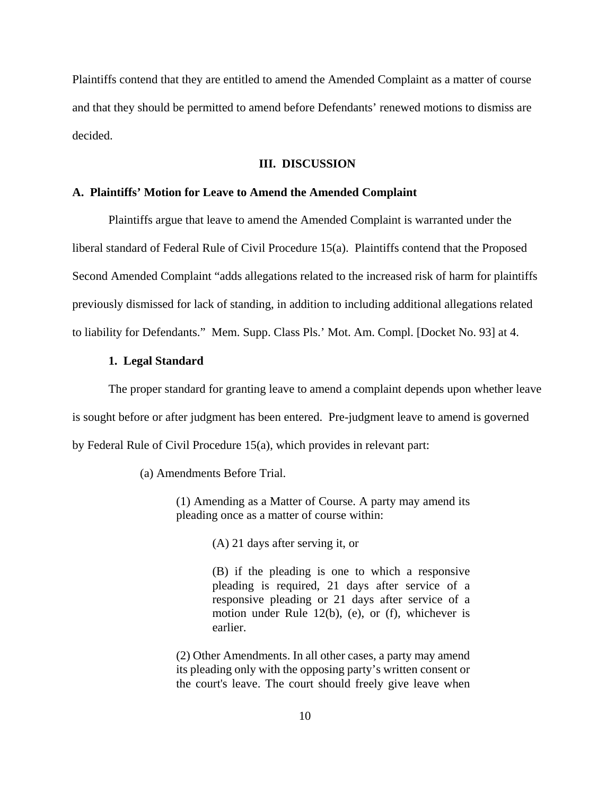Plaintiffs contend that they are entitled to amend the Amended Complaint as a matter of course and that they should be permitted to amend before Defendants' renewed motions to dismiss are decided.

#### **III. DISCUSSION**

### **A. Plaintiffs' Motion for Leave to Amend the Amended Complaint**

Plaintiffs argue that leave to amend the Amended Complaint is warranted under the liberal standard of Federal Rule of Civil Procedure 15(a). Plaintiffs contend that the Proposed Second Amended Complaint "adds allegations related to the increased risk of harm for plaintiffs previously dismissed for lack of standing, in addition to including additional allegations related to liability for Defendants." Mem. Supp. Class Pls.' Mot. Am. Compl. [Docket No. 93] at 4.

### **1. Legal Standard**

The proper standard for granting leave to amend a complaint depends upon whether leave is sought before or after judgment has been entered. Pre-judgment leave to amend is governed by Federal Rule of Civil Procedure 15(a), which provides in relevant part:

(a) Amendments Before Trial.

(1) Amending as a Matter of Course. A party may amend its pleading once as a matter of course within:

(A) 21 days after serving it, or

(B) if the pleading is one to which a responsive pleading is required, 21 days after service of a responsive pleading or 21 days after service of a motion under Rule 12(b), (e), or (f), whichever is earlier.

(2) Other Amendments. In all other cases, a party may amend its pleading only with the opposing party's written consent or the court's leave. The court should freely give leave when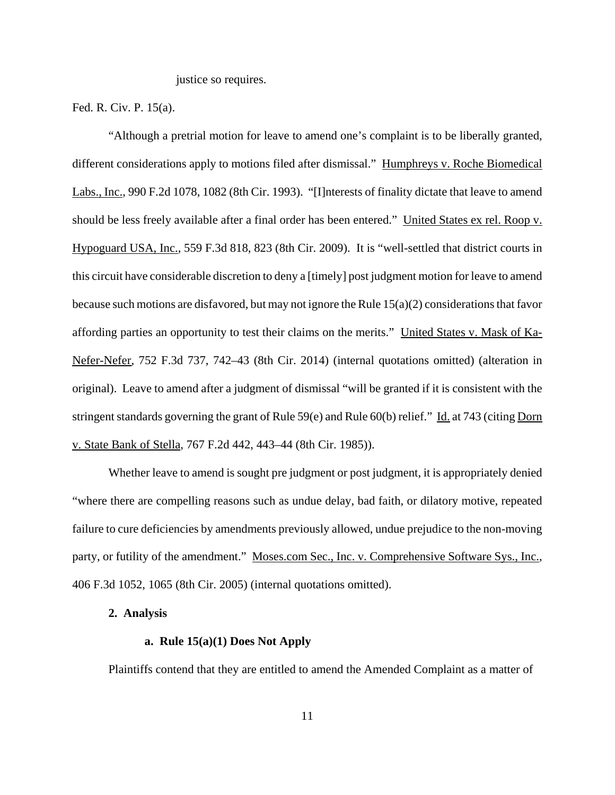justice so requires.

Fed. R. Civ. P. 15(a).

"Although a pretrial motion for leave to amend one's complaint is to be liberally granted, different considerations apply to motions filed after dismissal." Humphreys v. Roche Biomedical Labs., Inc., 990 F.2d 1078, 1082 (8th Cir. 1993). "[I]nterests of finality dictate that leave to amend should be less freely available after a final order has been entered." United States ex rel. Roop v. Hypoguard USA, Inc., 559 F.3d 818, 823 (8th Cir. 2009). It is "well-settled that district courts in this circuit have considerable discretion to deny a [timely] post judgment motion for leave to amend because such motions are disfavored, but may not ignore the Rule 15(a)(2) considerations that favor affording parties an opportunity to test their claims on the merits." United States v. Mask of Ka-Nefer-Nefer, 752 F.3d 737, 742–43 (8th Cir. 2014) (internal quotations omitted) (alteration in original). Leave to amend after a judgment of dismissal "will be granted if it is consistent with the stringent standards governing the grant of Rule 59(e) and Rule 60(b) relief." Id. at 743 (citing Dorn v. State Bank of Stella, 767 F.2d 442, 443–44 (8th Cir. 1985)).

Whether leave to amend is sought pre judgment or post judgment, it is appropriately denied "where there are compelling reasons such as undue delay, bad faith, or dilatory motive, repeated failure to cure deficiencies by amendments previously allowed, undue prejudice to the non-moving party, or futility of the amendment." Moses.com Sec., Inc. v. Comprehensive Software Sys., Inc., 406 F.3d 1052, 1065 (8th Cir. 2005) (internal quotations omitted).

## **2. Analysis**

# **a. Rule 15(a)(1) Does Not Apply**

Plaintiffs contend that they are entitled to amend the Amended Complaint as a matter of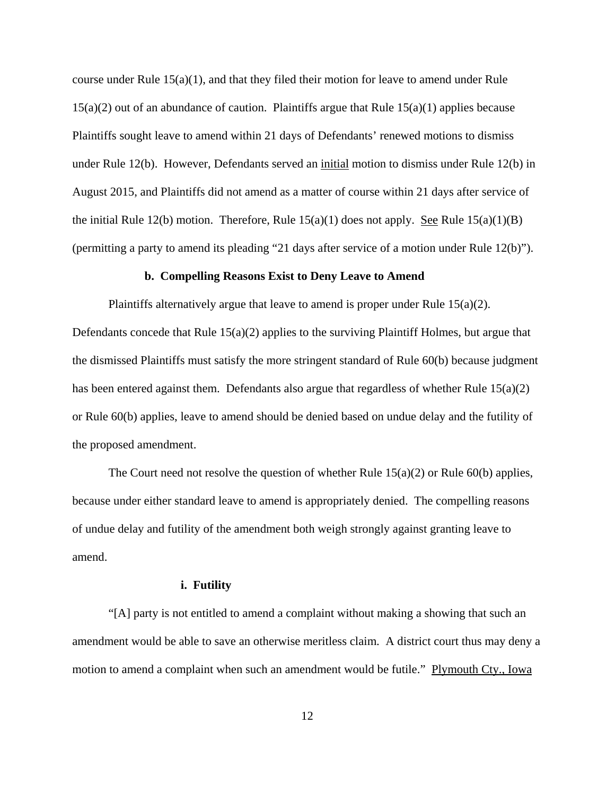course under Rule  $15(a)(1)$ , and that they filed their motion for leave to amend under Rule 15(a)(2) out of an abundance of caution. Plaintiffs argue that Rule 15(a)(1) applies because Plaintiffs sought leave to amend within 21 days of Defendants' renewed motions to dismiss under Rule 12(b). However, Defendants served an initial motion to dismiss under Rule 12(b) in August 2015, and Plaintiffs did not amend as a matter of course within 21 days after service of the initial Rule 12(b) motion. Therefore, Rule  $15(a)(1)$  does not apply. See Rule  $15(a)(1)(B)$ (permitting a party to amend its pleading "21 days after service of a motion under Rule 12(b)").

### **b. Compelling Reasons Exist to Deny Leave to Amend**

Plaintiffs alternatively argue that leave to amend is proper under Rule  $15(a)(2)$ . Defendants concede that Rule 15(a)(2) applies to the surviving Plaintiff Holmes, but argue that the dismissed Plaintiffs must satisfy the more stringent standard of Rule 60(b) because judgment has been entered against them. Defendants also argue that regardless of whether Rule 15(a)(2) or Rule 60(b) applies, leave to amend should be denied based on undue delay and the futility of the proposed amendment.

The Court need not resolve the question of whether Rule  $15(a)(2)$  or Rule  $60(b)$  applies, because under either standard leave to amend is appropriately denied. The compelling reasons of undue delay and futility of the amendment both weigh strongly against granting leave to amend.

### **i. Futility**

"[A] party is not entitled to amend a complaint without making a showing that such an amendment would be able to save an otherwise meritless claim. A district court thus may deny a motion to amend a complaint when such an amendment would be futile." Plymouth Cty., Iowa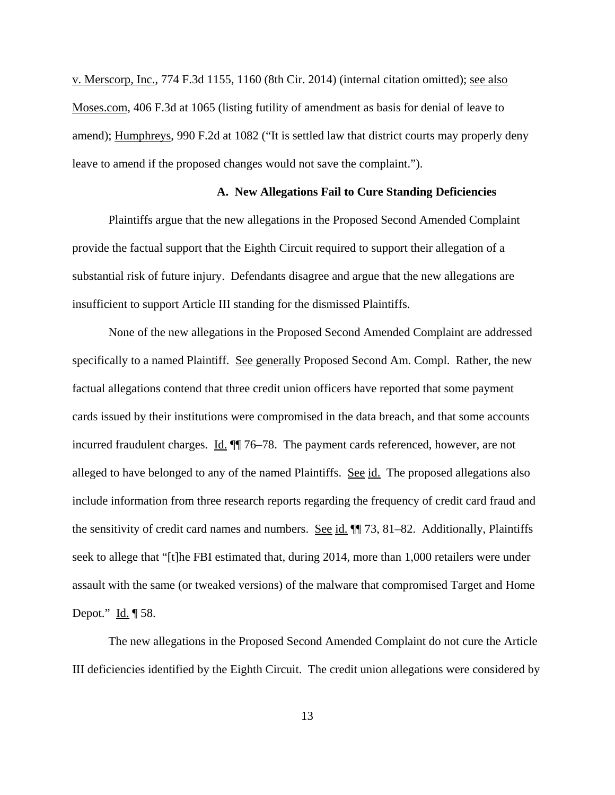v. Merscorp, Inc., 774 F.3d 1155, 1160 (8th Cir. 2014) (internal citation omitted); see also Moses.com, 406 F.3d at 1065 (listing futility of amendment as basis for denial of leave to amend); Humphreys, 990 F.2d at 1082 ("It is settled law that district courts may properly deny leave to amend if the proposed changes would not save the complaint.").

### **A. New Allegations Fail to Cure Standing Deficiencies**

Plaintiffs argue that the new allegations in the Proposed Second Amended Complaint provide the factual support that the Eighth Circuit required to support their allegation of a substantial risk of future injury. Defendants disagree and argue that the new allegations are insufficient to support Article III standing for the dismissed Plaintiffs.

None of the new allegations in the Proposed Second Amended Complaint are addressed specifically to a named Plaintiff. See generally Proposed Second Am. Compl. Rather, the new factual allegations contend that three credit union officers have reported that some payment cards issued by their institutions were compromised in the data breach, and that some accounts incurred fraudulent charges. Id.  $\P$  76–78. The payment cards referenced, however, are not alleged to have belonged to any of the named Plaintiffs. See id. The proposed allegations also include information from three research reports regarding the frequency of credit card fraud and the sensitivity of credit card names and numbers. See id.  $\P$  73, 81–82. Additionally, Plaintiffs seek to allege that "[t]he FBI estimated that, during 2014, more than 1,000 retailers were under assault with the same (or tweaked versions) of the malware that compromised Target and Home Depot."  $\underline{Id.} \P 58$ .

The new allegations in the Proposed Second Amended Complaint do not cure the Article III deficiencies identified by the Eighth Circuit. The credit union allegations were considered by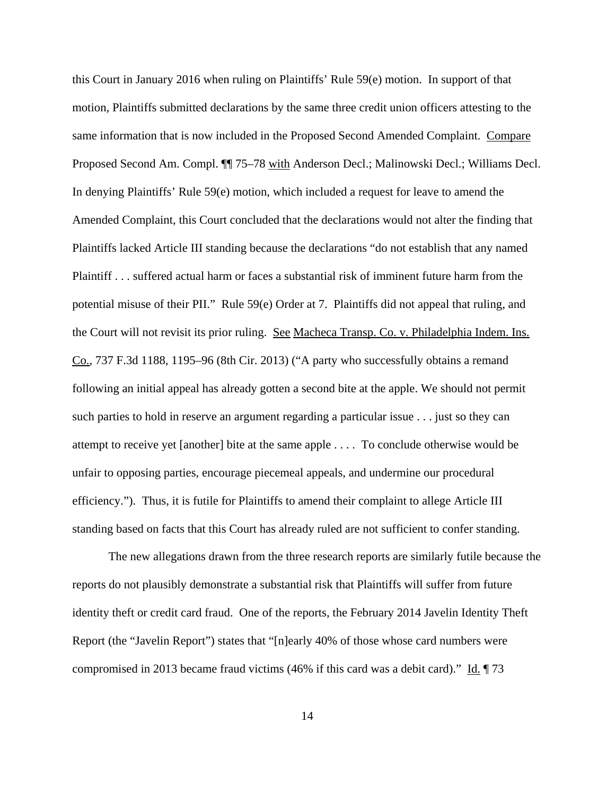this Court in January 2016 when ruling on Plaintiffs' Rule 59(e) motion. In support of that motion, Plaintiffs submitted declarations by the same three credit union officers attesting to the same information that is now included in the Proposed Second Amended Complaint. Compare Proposed Second Am. Compl. ¶¶ 75–78 with Anderson Decl.; Malinowski Decl.; Williams Decl. In denying Plaintiffs' Rule 59(e) motion, which included a request for leave to amend the Amended Complaint, this Court concluded that the declarations would not alter the finding that Plaintiffs lacked Article III standing because the declarations "do not establish that any named Plaintiff . . . suffered actual harm or faces a substantial risk of imminent future harm from the potential misuse of their PII." Rule 59(e) Order at 7. Plaintiffs did not appeal that ruling, and the Court will not revisit its prior ruling. See Macheca Transp. Co. v. Philadelphia Indem. Ins. Co., 737 F.3d 1188, 1195–96 (8th Cir. 2013) ("A party who successfully obtains a remand following an initial appeal has already gotten a second bite at the apple. We should not permit such parties to hold in reserve an argument regarding a particular issue . . . just so they can attempt to receive yet [another] bite at the same apple . . . . To conclude otherwise would be unfair to opposing parties, encourage piecemeal appeals, and undermine our procedural efficiency."). Thus, it is futile for Plaintiffs to amend their complaint to allege Article III standing based on facts that this Court has already ruled are not sufficient to confer standing.

The new allegations drawn from the three research reports are similarly futile because the reports do not plausibly demonstrate a substantial risk that Plaintiffs will suffer from future identity theft or credit card fraud. One of the reports, the February 2014 Javelin Identity Theft Report (the "Javelin Report") states that "[n]early 40% of those whose card numbers were compromised in 2013 became fraud victims (46% if this card was a debit card)." Id. ¶ 73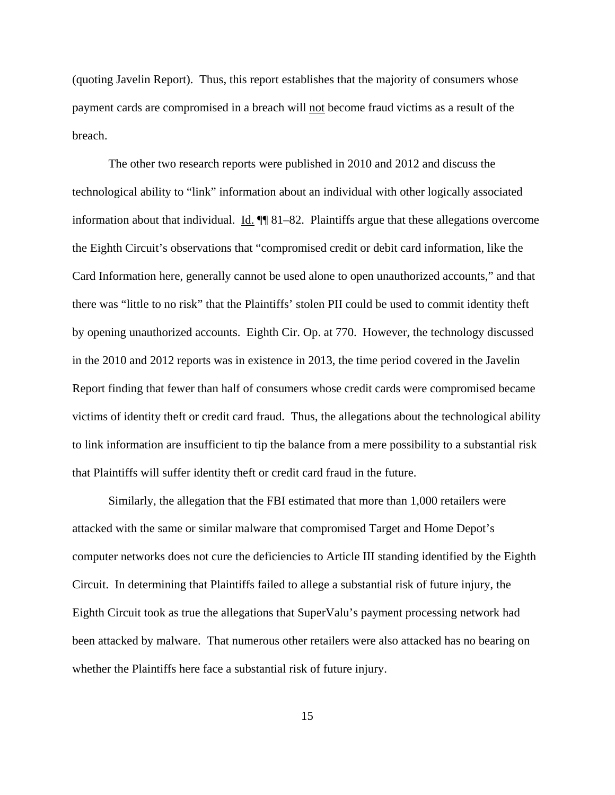(quoting Javelin Report). Thus, this report establishes that the majority of consumers whose payment cards are compromised in a breach will not become fraud victims as a result of the breach.

The other two research reports were published in 2010 and 2012 and discuss the technological ability to "link" information about an individual with other logically associated information about that individual.  $\underline{Id}$ .  $\P\P$  81–82. Plaintiffs argue that these allegations overcome the Eighth Circuit's observations that "compromised credit or debit card information, like the Card Information here, generally cannot be used alone to open unauthorized accounts," and that there was "little to no risk" that the Plaintiffs' stolen PII could be used to commit identity theft by opening unauthorized accounts. Eighth Cir. Op. at 770. However, the technology discussed in the 2010 and 2012 reports was in existence in 2013, the time period covered in the Javelin Report finding that fewer than half of consumers whose credit cards were compromised became victims of identity theft or credit card fraud. Thus, the allegations about the technological ability to link information are insufficient to tip the balance from a mere possibility to a substantial risk that Plaintiffs will suffer identity theft or credit card fraud in the future.

Similarly, the allegation that the FBI estimated that more than 1,000 retailers were attacked with the same or similar malware that compromised Target and Home Depot's computer networks does not cure the deficiencies to Article III standing identified by the Eighth Circuit. In determining that Plaintiffs failed to allege a substantial risk of future injury, the Eighth Circuit took as true the allegations that SuperValu's payment processing network had been attacked by malware. That numerous other retailers were also attacked has no bearing on whether the Plaintiffs here face a substantial risk of future injury.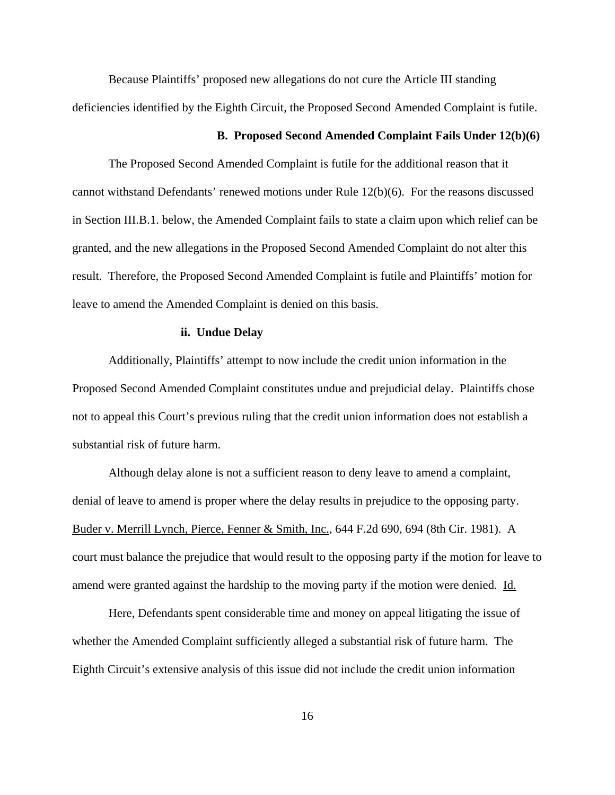Because Plaintiffs' proposed new allegations do not cure the Article III standing deficiencies identified by the Eighth Circuit, the Proposed Second Amended Complaint is futile.

### **B. Proposed Second Amended Complaint Fails Under 12(b)(6)**

The Proposed Second Amended Complaint is futile for the additional reason that it cannot withstand Defendants' renewed motions under Rule 12(b)(6). For the reasons discussed in Section III.B.1. below, the Amended Complaint fails to state a claim upon which relief can be granted, and the new allegations in the Proposed Second Amended Complaint do not alter this result. Therefore, the Proposed Second Amended Complaint is futile and Plaintiffs' motion for leave to amend the Amended Complaint is denied on this basis.

### **ii. Undue Delay**

Additionally, Plaintiffs' attempt to now include the credit union information in the Proposed Second Amended Complaint constitutes undue and prejudicial delay. Plaintiffs chose not to appeal this Court's previous ruling that the credit union information does not establish a substantial risk of future harm.

Although delay alone is not a sufficient reason to deny leave to amend a complaint, denial of leave to amend is proper where the delay results in prejudice to the opposing party. Buder v. Merrill Lynch, Pierce, Fenner & Smith, Inc., 644 F.2d 690, 694 (8th Cir. 1981). A court must balance the prejudice that would result to the opposing party if the motion for leave to amend were granted against the hardship to the moving party if the motion were denied. Id.

Here, Defendants spent considerable time and money on appeal litigating the issue of whether the Amended Complaint sufficiently alleged a substantial risk of future harm. The Eighth Circuit's extensive analysis of this issue did not include the credit union information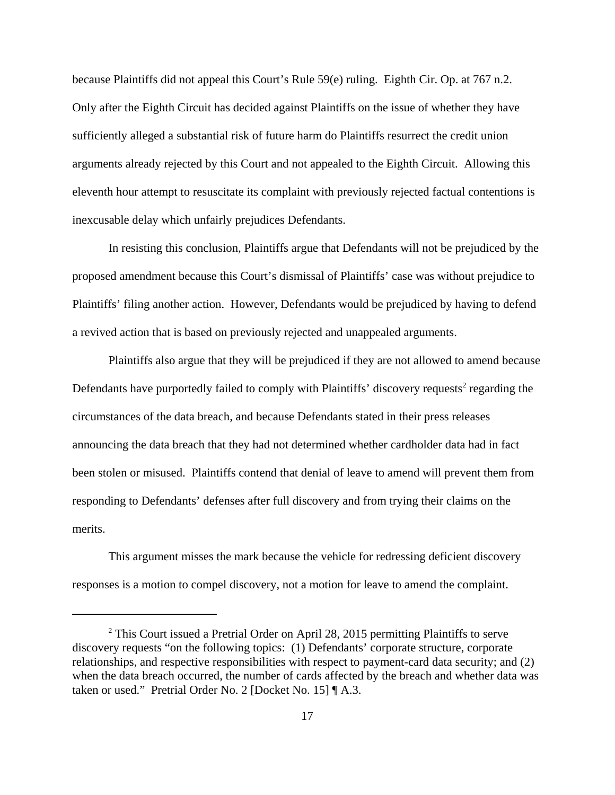because Plaintiffs did not appeal this Court's Rule 59(e) ruling. Eighth Cir. Op. at 767 n.2. Only after the Eighth Circuit has decided against Plaintiffs on the issue of whether they have sufficiently alleged a substantial risk of future harm do Plaintiffs resurrect the credit union arguments already rejected by this Court and not appealed to the Eighth Circuit. Allowing this eleventh hour attempt to resuscitate its complaint with previously rejected factual contentions is inexcusable delay which unfairly prejudices Defendants.

In resisting this conclusion, Plaintiffs argue that Defendants will not be prejudiced by the proposed amendment because this Court's dismissal of Plaintiffs' case was without prejudice to Plaintiffs' filing another action. However, Defendants would be prejudiced by having to defend a revived action that is based on previously rejected and unappealed arguments.

Plaintiffs also argue that they will be prejudiced if they are not allowed to amend because Defendants have purportedly failed to comply with Plaintiffs' discovery requests<sup>2</sup> regarding the circumstances of the data breach, and because Defendants stated in their press releases announcing the data breach that they had not determined whether cardholder data had in fact been stolen or misused. Plaintiffs contend that denial of leave to amend will prevent them from responding to Defendants' defenses after full discovery and from trying their claims on the merits.

This argument misses the mark because the vehicle for redressing deficient discovery responses is a motion to compel discovery, not a motion for leave to amend the complaint.

<sup>&</sup>lt;sup>2</sup> This Court issued a Pretrial Order on April 28, 2015 permitting Plaintiffs to serve discovery requests "on the following topics: (1) Defendants' corporate structure, corporate relationships, and respective responsibilities with respect to payment-card data security; and (2) when the data breach occurred, the number of cards affected by the breach and whether data was taken or used." Pretrial Order No. 2 [Docket No. 15] ¶ A.3.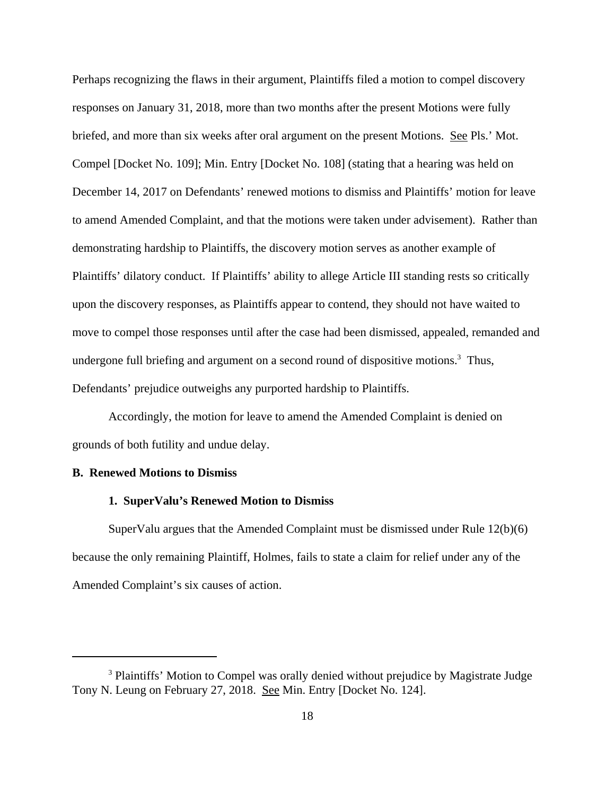Perhaps recognizing the flaws in their argument, Plaintiffs filed a motion to compel discovery responses on January 31, 2018, more than two months after the present Motions were fully briefed, and more than six weeks after oral argument on the present Motions. See Pls.' Mot. Compel [Docket No. 109]; Min. Entry [Docket No. 108] (stating that a hearing was held on December 14, 2017 on Defendants' renewed motions to dismiss and Plaintiffs' motion for leave to amend Amended Complaint, and that the motions were taken under advisement). Rather than demonstrating hardship to Plaintiffs, the discovery motion serves as another example of Plaintiffs' dilatory conduct. If Plaintiffs' ability to allege Article III standing rests so critically upon the discovery responses, as Plaintiffs appear to contend, they should not have waited to move to compel those responses until after the case had been dismissed, appealed, remanded and undergone full briefing and argument on a second round of dispositive motions.<sup>3</sup> Thus, Defendants' prejudice outweighs any purported hardship to Plaintiffs.

Accordingly, the motion for leave to amend the Amended Complaint is denied on grounds of both futility and undue delay.

### **B. Renewed Motions to Dismiss**

#### **1. SuperValu's Renewed Motion to Dismiss**

SuperValu argues that the Amended Complaint must be dismissed under Rule 12(b)(6) because the only remaining Plaintiff, Holmes, fails to state a claim for relief under any of the Amended Complaint's six causes of action.

<sup>&</sup>lt;sup>3</sup> Plaintiffs' Motion to Compel was orally denied without prejudice by Magistrate Judge Tony N. Leung on February 27, 2018. See Min. Entry [Docket No. 124].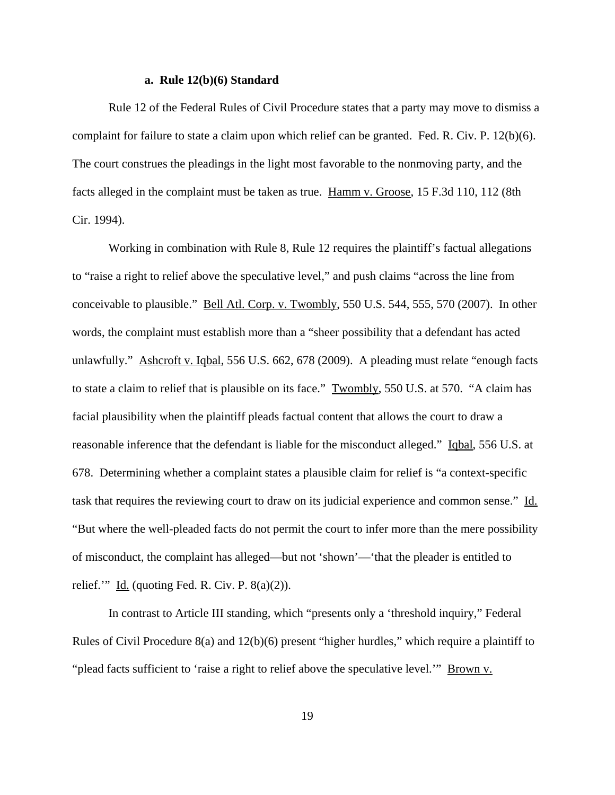#### **a. Rule 12(b)(6) Standard**

Rule 12 of the Federal Rules of Civil Procedure states that a party may move to dismiss a complaint for failure to state a claim upon which relief can be granted. Fed. R. Civ. P. 12(b)(6). The court construes the pleadings in the light most favorable to the nonmoving party, and the facts alleged in the complaint must be taken as true. Hamm v. Groose, 15 F.3d 110, 112 (8th Cir. 1994).

Working in combination with Rule 8, Rule 12 requires the plaintiff's factual allegations to "raise a right to relief above the speculative level," and push claims "across the line from conceivable to plausible." Bell Atl. Corp. v. Twombly, 550 U.S. 544, 555, 570 (2007). In other words, the complaint must establish more than a "sheer possibility that a defendant has acted unlawfully." Ashcroft v. Iqbal, 556 U.S. 662, 678 (2009). A pleading must relate "enough facts to state a claim to relief that is plausible on its face." Twombly, 550 U.S. at 570. "A claim has facial plausibility when the plaintiff pleads factual content that allows the court to draw a reasonable inference that the defendant is liable for the misconduct alleged." Igbal, 556 U.S. at 678. Determining whether a complaint states a plausible claim for relief is "a context-specific task that requires the reviewing court to draw on its judicial experience and common sense." Id. "But where the well-pleaded facts do not permit the court to infer more than the mere possibility of misconduct, the complaint has alleged—but not 'shown'—'that the pleader is entitled to relief." Id. (quoting Fed. R. Civ. P.  $8(a)(2)$ ).

In contrast to Article III standing, which "presents only a 'threshold inquiry," Federal Rules of Civil Procedure 8(a) and 12(b)(6) present "higher hurdles," which require a plaintiff to "plead facts sufficient to 'raise a right to relief above the speculative level."" Brown v.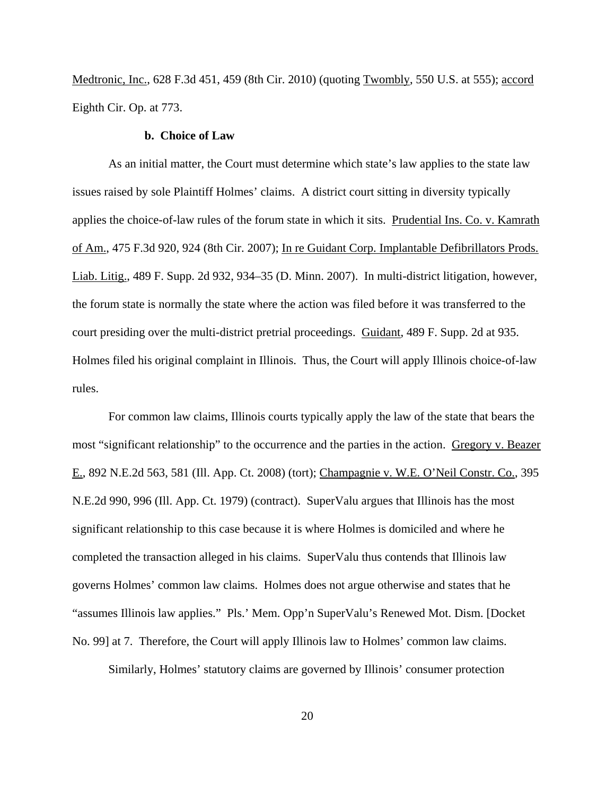Medtronic, Inc., 628 F.3d 451, 459 (8th Cir. 2010) (quoting Twombly, 550 U.S. at 555); accord Eighth Cir. Op. at 773.

### **b. Choice of Law**

As an initial matter, the Court must determine which state's law applies to the state law issues raised by sole Plaintiff Holmes' claims. A district court sitting in diversity typically applies the choice-of-law rules of the forum state in which it sits. Prudential Ins. Co. v. Kamrath of Am., 475 F.3d 920, 924 (8th Cir. 2007); In re Guidant Corp. Implantable Defibrillators Prods. Liab. Litig., 489 F. Supp. 2d 932, 934–35 (D. Minn. 2007). In multi-district litigation, however, the forum state is normally the state where the action was filed before it was transferred to the court presiding over the multi-district pretrial proceedings. Guidant, 489 F. Supp. 2d at 935. Holmes filed his original complaint in Illinois. Thus, the Court will apply Illinois choice-of-law rules.

For common law claims, Illinois courts typically apply the law of the state that bears the most "significant relationship" to the occurrence and the parties in the action. Gregory v. Beazer E., 892 N.E.2d 563, 581 (Ill. App. Ct. 2008) (tort); Champagnie v. W.E. O'Neil Constr. Co., 395 N.E.2d 990, 996 (Ill. App. Ct. 1979) (contract). SuperValu argues that Illinois has the most significant relationship to this case because it is where Holmes is domiciled and where he completed the transaction alleged in his claims. SuperValu thus contends that Illinois law governs Holmes' common law claims. Holmes does not argue otherwise and states that he "assumes Illinois law applies." Pls.' Mem. Opp'n SuperValu's Renewed Mot. Dism. [Docket No. 99] at 7. Therefore, the Court will apply Illinois law to Holmes' common law claims.

Similarly, Holmes' statutory claims are governed by Illinois' consumer protection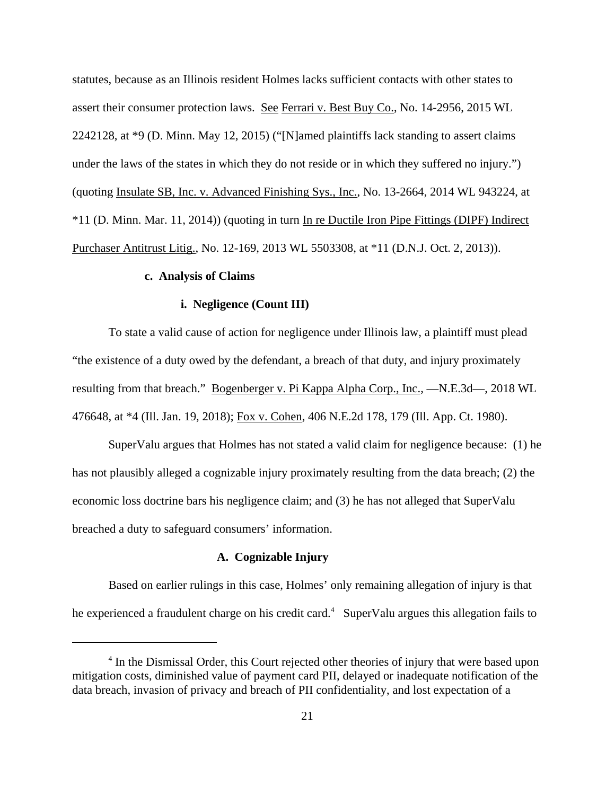statutes, because as an Illinois resident Holmes lacks sufficient contacts with other states to assert their consumer protection laws. See Ferrari v. Best Buy Co., No. 14-2956, 2015 WL 2242128, at \*9 (D. Minn. May 12, 2015) ("[N]amed plaintiffs lack standing to assert claims under the laws of the states in which they do not reside or in which they suffered no injury.") (quoting Insulate SB, Inc. v. Advanced Finishing Sys., Inc., No. 13-2664, 2014 WL 943224, at \*11 (D. Minn. Mar. 11, 2014)) (quoting in turn In re Ductile Iron Pipe Fittings (DIPF) Indirect Purchaser Antitrust Litig., No. 12-169, 2013 WL 5503308, at \*11 (D.N.J. Oct. 2, 2013)).

### **c. Analysis of Claims**

### **i. Negligence (Count III)**

To state a valid cause of action for negligence under Illinois law, a plaintiff must plead "the existence of a duty owed by the defendant, a breach of that duty, and injury proximately resulting from that breach." Bogenberger v. Pi Kappa Alpha Corp., Inc., —N.E.3d—, 2018 WL 476648, at \*4 (Ill. Jan. 19, 2018); Fox v. Cohen, 406 N.E.2d 178, 179 (Ill. App. Ct. 1980).

SuperValu argues that Holmes has not stated a valid claim for negligence because: (1) he has not plausibly alleged a cognizable injury proximately resulting from the data breach; (2) the economic loss doctrine bars his negligence claim; and (3) he has not alleged that SuperValu breached a duty to safeguard consumers' information.

### **A. Cognizable Injury**

Based on earlier rulings in this case, Holmes' only remaining allegation of injury is that he experienced a fraudulent charge on his credit card.<sup>4</sup> SuperValu argues this allegation fails to

<sup>&</sup>lt;sup>4</sup> In the Dismissal Order, this Court rejected other theories of injury that were based upon mitigation costs, diminished value of payment card PII, delayed or inadequate notification of the data breach, invasion of privacy and breach of PII confidentiality, and lost expectation of a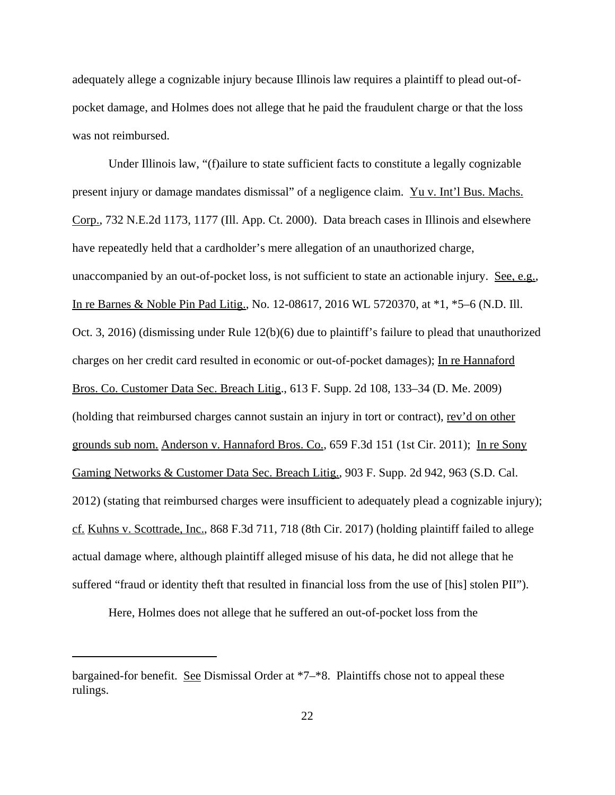adequately allege a cognizable injury because Illinois law requires a plaintiff to plead out-ofpocket damage, and Holmes does not allege that he paid the fraudulent charge or that the loss was not reimbursed.

Under Illinois law, "(f)ailure to state sufficient facts to constitute a legally cognizable present injury or damage mandates dismissal" of a negligence claim. Yu v. Int'l Bus. Machs. Corp., 732 N.E.2d 1173, 1177 (Ill. App. Ct. 2000). Data breach cases in Illinois and elsewhere have repeatedly held that a cardholder's mere allegation of an unauthorized charge, unaccompanied by an out-of-pocket loss, is not sufficient to state an actionable injury. See, e.g., In re Barnes & Noble Pin Pad Litig., No. 12-08617, 2016 WL 5720370, at \*1, \*5–6 (N.D. Ill. Oct. 3, 2016) (dismissing under Rule 12(b)(6) due to plaintiff's failure to plead that unauthorized charges on her credit card resulted in economic or out-of-pocket damages); In re Hannaford Bros. Co. Customer Data Sec. Breach Litig., 613 F. Supp. 2d 108, 133–34 (D. Me. 2009) (holding that reimbursed charges cannot sustain an injury in tort or contract), rev'd on other grounds sub nom. Anderson v. Hannaford Bros. Co., 659 F.3d 151 (1st Cir. 2011); In re Sony Gaming Networks & Customer Data Sec. Breach Litig., 903 F. Supp. 2d 942, 963 (S.D. Cal. 2012) (stating that reimbursed charges were insufficient to adequately plead a cognizable injury); cf. Kuhns v. Scottrade, Inc., 868 F.3d 711, 718 (8th Cir. 2017) (holding plaintiff failed to allege actual damage where, although plaintiff alleged misuse of his data, he did not allege that he suffered "fraud or identity theft that resulted in financial loss from the use of [his] stolen PII").

Here, Holmes does not allege that he suffered an out-of-pocket loss from the

bargained-for benefit. See Dismissal Order at \*7–\*8. Plaintiffs chose not to appeal these rulings.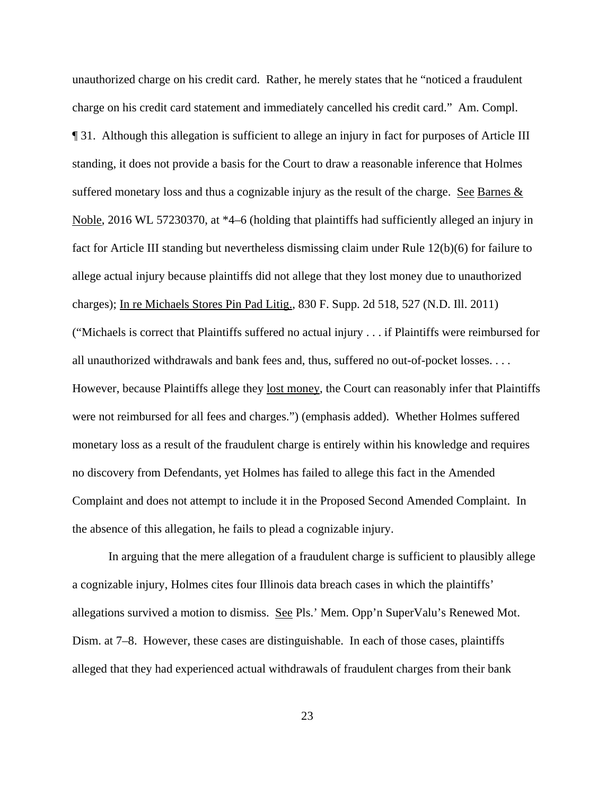unauthorized charge on his credit card. Rather, he merely states that he "noticed a fraudulent charge on his credit card statement and immediately cancelled his credit card." Am. Compl. ¶ 31. Although this allegation is sufficient to allege an injury in fact for purposes of Article III standing, it does not provide a basis for the Court to draw a reasonable inference that Holmes suffered monetary loss and thus a cognizable injury as the result of the charge. See Barnes  $\&$ Noble, 2016 WL 57230370, at \*4–6 (holding that plaintiffs had sufficiently alleged an injury in fact for Article III standing but nevertheless dismissing claim under Rule 12(b)(6) for failure to allege actual injury because plaintiffs did not allege that they lost money due to unauthorized charges); In re Michaels Stores Pin Pad Litig., 830 F. Supp. 2d 518, 527 (N.D. Ill. 2011) ("Michaels is correct that Plaintiffs suffered no actual injury . . . if Plaintiffs were reimbursed for all unauthorized withdrawals and bank fees and, thus, suffered no out-of-pocket losses. . . . However, because Plaintiffs allege they lost money, the Court can reasonably infer that Plaintiffs were not reimbursed for all fees and charges.") (emphasis added). Whether Holmes suffered monetary loss as a result of the fraudulent charge is entirely within his knowledge and requires no discovery from Defendants, yet Holmes has failed to allege this fact in the Amended Complaint and does not attempt to include it in the Proposed Second Amended Complaint. In the absence of this allegation, he fails to plead a cognizable injury.

In arguing that the mere allegation of a fraudulent charge is sufficient to plausibly allege a cognizable injury, Holmes cites four Illinois data breach cases in which the plaintiffs' allegations survived a motion to dismiss. See Pls.' Mem. Opp'n SuperValu's Renewed Mot. Dism. at 7–8. However, these cases are distinguishable. In each of those cases, plaintiffs alleged that they had experienced actual withdrawals of fraudulent charges from their bank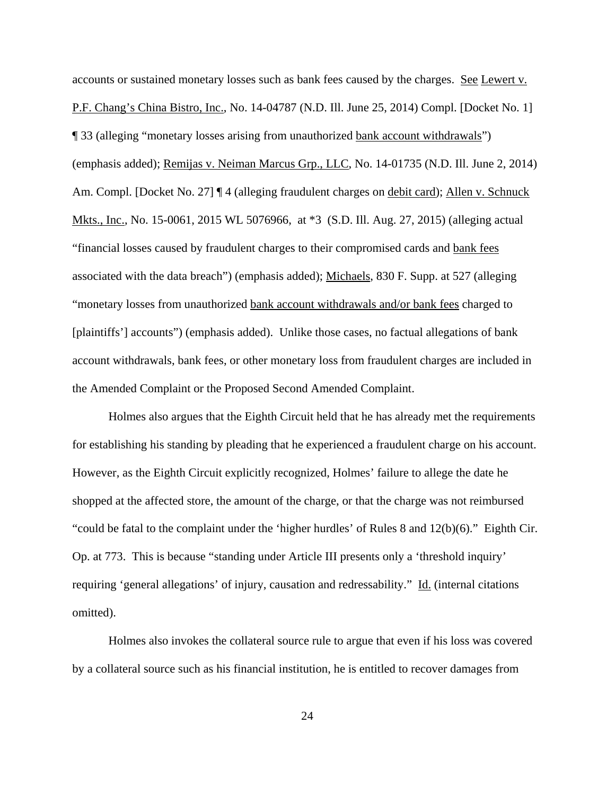accounts or sustained monetary losses such as bank fees caused by the charges. See Lewert v. P.F. Chang's China Bistro, Inc., No. 14-04787 (N.D. Ill. June 25, 2014) Compl. [Docket No. 1] ¶ 33 (alleging "monetary losses arising from unauthorized bank account withdrawals") (emphasis added); Remijas v. Neiman Marcus Grp., LLC, No. 14-01735 (N.D. Ill. June 2, 2014) Am. Compl. [Docket No. 27] ¶ 4 (alleging fraudulent charges on debit card); Allen v. Schnuck Mkts., Inc., No. 15-0061, 2015 WL 5076966, at \*3 (S.D. Ill. Aug. 27, 2015) (alleging actual "financial losses caused by fraudulent charges to their compromised cards and bank fees associated with the data breach") (emphasis added); Michaels, 830 F. Supp. at 527 (alleging "monetary losses from unauthorized bank account withdrawals and/or bank fees charged to [plaintiffs'] accounts") (emphasis added). Unlike those cases, no factual allegations of bank account withdrawals, bank fees, or other monetary loss from fraudulent charges are included in the Amended Complaint or the Proposed Second Amended Complaint.

Holmes also argues that the Eighth Circuit held that he has already met the requirements for establishing his standing by pleading that he experienced a fraudulent charge on his account. However, as the Eighth Circuit explicitly recognized, Holmes' failure to allege the date he shopped at the affected store, the amount of the charge, or that the charge was not reimbursed "could be fatal to the complaint under the 'higher hurdles' of Rules 8 and  $12(b)(6)$ ." Eighth Cir. Op. at 773. This is because "standing under Article III presents only a 'threshold inquiry' requiring 'general allegations' of injury, causation and redressability." Id. (internal citations omitted).

Holmes also invokes the collateral source rule to argue that even if his loss was covered by a collateral source such as his financial institution, he is entitled to recover damages from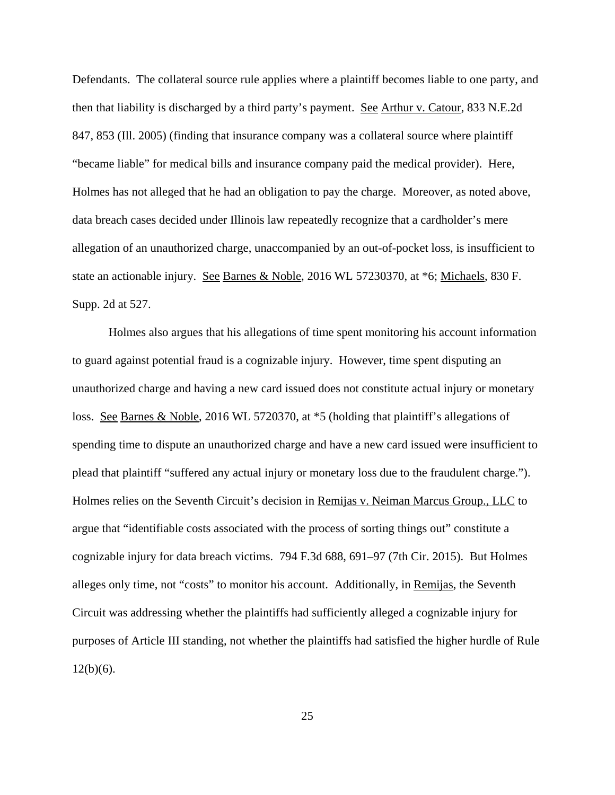Defendants. The collateral source rule applies where a plaintiff becomes liable to one party, and then that liability is discharged by a third party's payment. See Arthur v. Catour, 833 N.E.2d 847, 853 (Ill. 2005) (finding that insurance company was a collateral source where plaintiff "became liable" for medical bills and insurance company paid the medical provider). Here, Holmes has not alleged that he had an obligation to pay the charge. Moreover, as noted above, data breach cases decided under Illinois law repeatedly recognize that a cardholder's mere allegation of an unauthorized charge, unaccompanied by an out-of-pocket loss, is insufficient to state an actionable injury. See Barnes & Noble, 2016 WL 57230370, at \*6; Michaels, 830 F. Supp. 2d at 527.

Holmes also argues that his allegations of time spent monitoring his account information to guard against potential fraud is a cognizable injury. However, time spent disputing an unauthorized charge and having a new card issued does not constitute actual injury or monetary loss. See Barnes & Noble, 2016 WL 5720370, at \*5 (holding that plaintiff's allegations of spending time to dispute an unauthorized charge and have a new card issued were insufficient to plead that plaintiff "suffered any actual injury or monetary loss due to the fraudulent charge."). Holmes relies on the Seventh Circuit's decision in Remijas v. Neiman Marcus Group., LLC to argue that "identifiable costs associated with the process of sorting things out" constitute a cognizable injury for data breach victims. 794 F.3d 688, 691–97 (7th Cir. 2015). But Holmes alleges only time, not "costs" to monitor his account. Additionally, in Remijas, the Seventh Circuit was addressing whether the plaintiffs had sufficiently alleged a cognizable injury for purposes of Article III standing, not whether the plaintiffs had satisfied the higher hurdle of Rule  $12(b)(6)$ .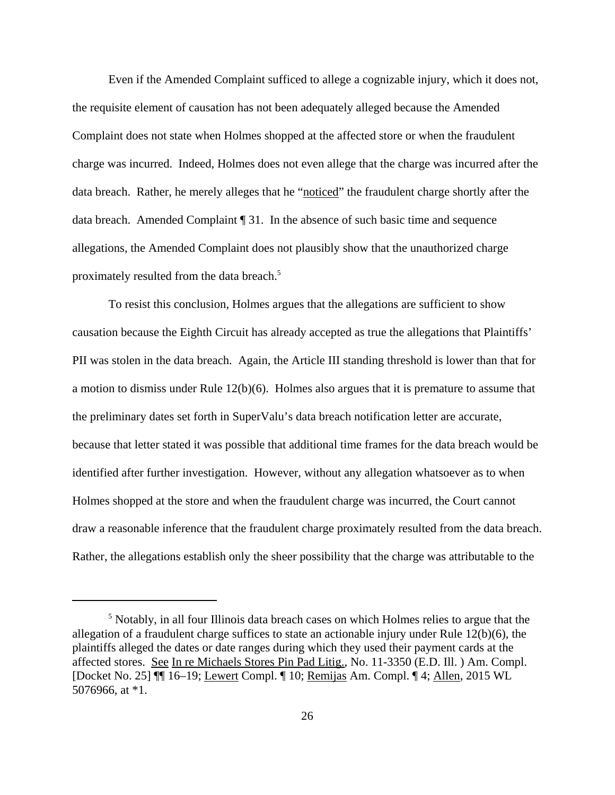Even if the Amended Complaint sufficed to allege a cognizable injury, which it does not, the requisite element of causation has not been adequately alleged because the Amended Complaint does not state when Holmes shopped at the affected store or when the fraudulent charge was incurred. Indeed, Holmes does not even allege that the charge was incurred after the data breach. Rather, he merely alleges that he "noticed" the fraudulent charge shortly after the data breach. Amended Complaint ¶ 31. In the absence of such basic time and sequence allegations, the Amended Complaint does not plausibly show that the unauthorized charge proximately resulted from the data breach.<sup>5</sup>

To resist this conclusion, Holmes argues that the allegations are sufficient to show causation because the Eighth Circuit has already accepted as true the allegations that Plaintiffs' PII was stolen in the data breach. Again, the Article III standing threshold is lower than that for a motion to dismiss under Rule 12(b)(6). Holmes also argues that it is premature to assume that the preliminary dates set forth in SuperValu's data breach notification letter are accurate, because that letter stated it was possible that additional time frames for the data breach would be identified after further investigation. However, without any allegation whatsoever as to when Holmes shopped at the store and when the fraudulent charge was incurred, the Court cannot draw a reasonable inference that the fraudulent charge proximately resulted from the data breach. Rather, the allegations establish only the sheer possibility that the charge was attributable to the

<sup>&</sup>lt;sup>5</sup> Notably, in all four Illinois data breach cases on which Holmes relies to argue that the allegation of a fraudulent charge suffices to state an actionable injury under Rule 12(b)(6), the plaintiffs alleged the dates or date ranges during which they used their payment cards at the affected stores. See In re Michaels Stores Pin Pad Litig., No. 11-3350 (E.D. Ill. ) Am. Compl. [Docket No. 25] ¶¶ 16–19; Lewert Compl. ¶ 10; Remijas Am. Compl. ¶ 4; Allen, 2015 WL 5076966, at \*1.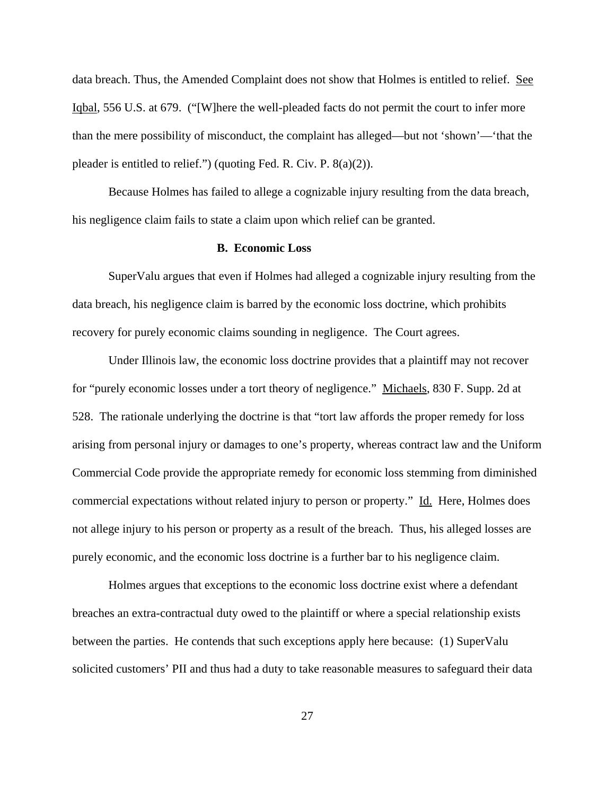data breach. Thus, the Amended Complaint does not show that Holmes is entitled to relief. See Iqbal, 556 U.S. at 679. ("[W]here the well-pleaded facts do not permit the court to infer more than the mere possibility of misconduct, the complaint has alleged—but not 'shown'—'that the pleader is entitled to relief.") (quoting Fed. R. Civ. P. 8(a)(2)).

Because Holmes has failed to allege a cognizable injury resulting from the data breach, his negligence claim fails to state a claim upon which relief can be granted.

### **B. Economic Loss**

SuperValu argues that even if Holmes had alleged a cognizable injury resulting from the data breach, his negligence claim is barred by the economic loss doctrine, which prohibits recovery for purely economic claims sounding in negligence. The Court agrees.

Under Illinois law, the economic loss doctrine provides that a plaintiff may not recover for "purely economic losses under a tort theory of negligence." Michaels, 830 F. Supp. 2d at 528. The rationale underlying the doctrine is that "tort law affords the proper remedy for loss arising from personal injury or damages to one's property, whereas contract law and the Uniform Commercial Code provide the appropriate remedy for economic loss stemming from diminished commercial expectations without related injury to person or property." Id. Here, Holmes does not allege injury to his person or property as a result of the breach. Thus, his alleged losses are purely economic, and the economic loss doctrine is a further bar to his negligence claim.

Holmes argues that exceptions to the economic loss doctrine exist where a defendant breaches an extra-contractual duty owed to the plaintiff or where a special relationship exists between the parties. He contends that such exceptions apply here because: (1) SuperValu solicited customers' PII and thus had a duty to take reasonable measures to safeguard their data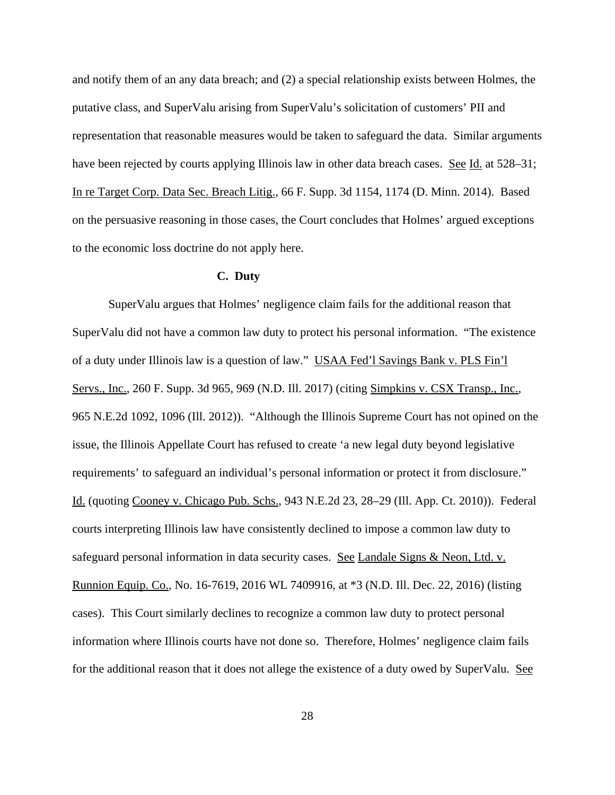and notify them of an any data breach; and (2) a special relationship exists between Holmes, the putative class, and SuperValu arising from SuperValu's solicitation of customers' PII and representation that reasonable measures would be taken to safeguard the data. Similar arguments have been rejected by courts applying Illinois law in other data breach cases. See Id. at 528–31; In re Target Corp. Data Sec. Breach Litig., 66 F. Supp. 3d 1154, 1174 (D. Minn. 2014). Based on the persuasive reasoning in those cases, the Court concludes that Holmes' argued exceptions to the economic loss doctrine do not apply here.

### **C. Duty**

SuperValu argues that Holmes' negligence claim fails for the additional reason that SuperValu did not have a common law duty to protect his personal information. "The existence of a duty under Illinois law is a question of law." USAA Fed'l Savings Bank v. PLS Fin'l Servs., Inc., 260 F. Supp. 3d 965, 969 (N.D. Ill. 2017) (citing Simpkins v. CSX Transp., Inc., 965 N.E.2d 1092, 1096 (Ill. 2012)). "Although the Illinois Supreme Court has not opined on the issue, the Illinois Appellate Court has refused to create 'a new legal duty beyond legislative requirements' to safeguard an individual's personal information or protect it from disclosure." Id. (quoting Cooney v. Chicago Pub. Schs., 943 N.E.2d 23, 28–29 (Ill. App. Ct. 2010)). Federal courts interpreting Illinois law have consistently declined to impose a common law duty to safeguard personal information in data security cases. See Landale Signs & Neon, Ltd. v. Runnion Equip. Co., No. 16-7619, 2016 WL 7409916, at \*3 (N.D. Ill. Dec. 22, 2016) (listing cases). This Court similarly declines to recognize a common law duty to protect personal information where Illinois courts have not done so. Therefore, Holmes' negligence claim fails for the additional reason that it does not allege the existence of a duty owed by SuperValu. See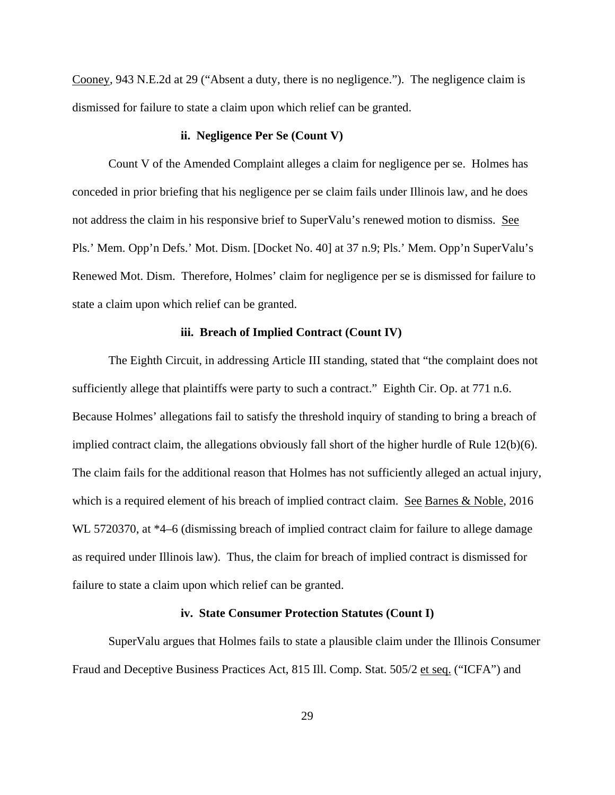Cooney, 943 N.E.2d at 29 ("Absent a duty, there is no negligence."). The negligence claim is dismissed for failure to state a claim upon which relief can be granted.

### **ii. Negligence Per Se (Count V)**

Count V of the Amended Complaint alleges a claim for negligence per se. Holmes has conceded in prior briefing that his negligence per se claim fails under Illinois law, and he does not address the claim in his responsive brief to SuperValu's renewed motion to dismiss. See Pls.' Mem. Opp'n Defs.' Mot. Dism. [Docket No. 40] at 37 n.9; Pls.' Mem. Opp'n SuperValu's Renewed Mot. Dism. Therefore, Holmes' claim for negligence per se is dismissed for failure to state a claim upon which relief can be granted.

### **iii. Breach of Implied Contract (Count IV)**

The Eighth Circuit, in addressing Article III standing, stated that "the complaint does not sufficiently allege that plaintiffs were party to such a contract." Eighth Cir. Op. at 771 n.6. Because Holmes' allegations fail to satisfy the threshold inquiry of standing to bring a breach of implied contract claim, the allegations obviously fall short of the higher hurdle of Rule 12(b)(6). The claim fails for the additional reason that Holmes has not sufficiently alleged an actual injury, which is a required element of his breach of implied contract claim. See Barnes & Noble, 2016 WL 5720370, at  $*4-6$  (dismissing breach of implied contract claim for failure to allege damage as required under Illinois law). Thus, the claim for breach of implied contract is dismissed for failure to state a claim upon which relief can be granted.

### **iv. State Consumer Protection Statutes (Count I)**

SuperValu argues that Holmes fails to state a plausible claim under the Illinois Consumer Fraud and Deceptive Business Practices Act, 815 Ill. Comp. Stat. 505/2 et seq. ("ICFA") and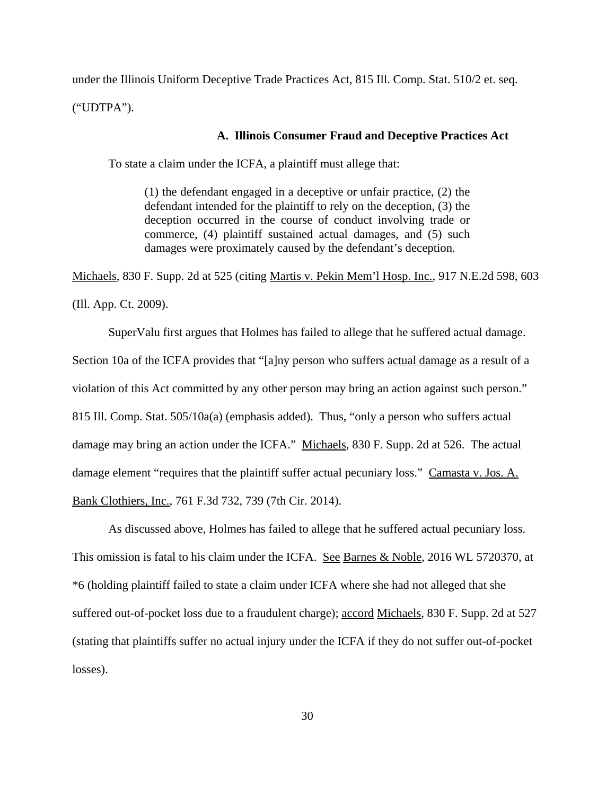under the Illinois Uniform Deceptive Trade Practices Act, 815 Ill. Comp. Stat. 510/2 et. seq. ("UDTPA").

### **A. Illinois Consumer Fraud and Deceptive Practices Act**

To state a claim under the ICFA, a plaintiff must allege that:

(1) the defendant engaged in a deceptive or unfair practice, (2) the defendant intended for the plaintiff to rely on the deception, (3) the deception occurred in the course of conduct involving trade or commerce, (4) plaintiff sustained actual damages, and (5) such damages were proximately caused by the defendant's deception.

Michaels, 830 F. Supp. 2d at 525 (citing Martis v. Pekin Mem'l Hosp. Inc., 917 N.E.2d 598, 603 (Ill. App. Ct. 2009).

SuperValu first argues that Holmes has failed to allege that he suffered actual damage. Section 10a of the ICFA provides that "[a]ny person who suffers actual damage as a result of a violation of this Act committed by any other person may bring an action against such person." 815 Ill. Comp. Stat. 505/10a(a) (emphasis added). Thus, "only a person who suffers actual damage may bring an action under the ICFA." Michaels, 830 F. Supp. 2d at 526. The actual damage element "requires that the plaintiff suffer actual pecuniary loss." Camasta v. Jos. A. Bank Clothiers, Inc., 761 F.3d 732, 739 (7th Cir. 2014).

As discussed above, Holmes has failed to allege that he suffered actual pecuniary loss. This omission is fatal to his claim under the ICFA. See Barnes & Noble, 2016 WL 5720370, at \*6 (holding plaintiff failed to state a claim under ICFA where she had not alleged that she suffered out-of-pocket loss due to a fraudulent charge); accord Michaels, 830 F. Supp. 2d at 527 (stating that plaintiffs suffer no actual injury under the ICFA if they do not suffer out-of-pocket losses).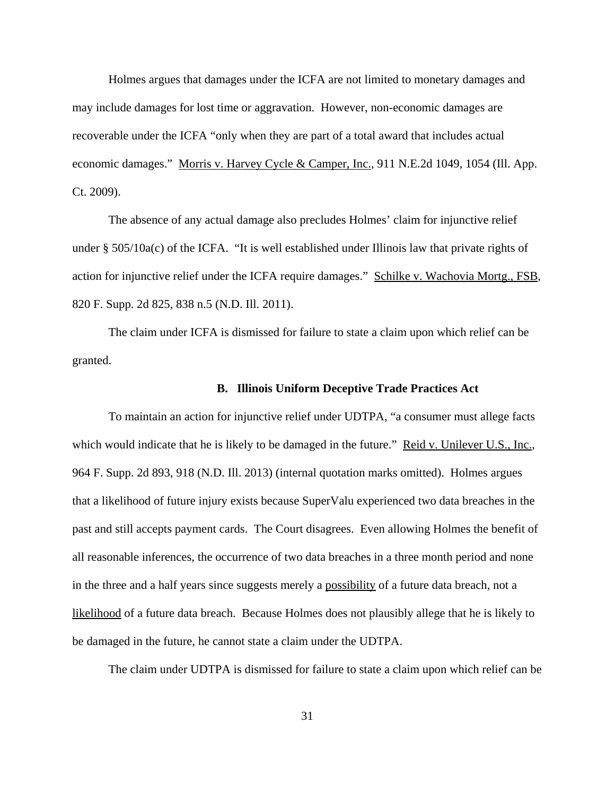Holmes argues that damages under the ICFA are not limited to monetary damages and may include damages for lost time or aggravation. However, non-economic damages are recoverable under the ICFA "only when they are part of a total award that includes actual economic damages." Morris v. Harvey Cycle & Camper, Inc., 911 N.E.2d 1049, 1054 (Ill. App. Ct. 2009).

The absence of any actual damage also precludes Holmes' claim for injunctive relief under § 505/10a(c) of the ICFA. "It is well established under Illinois law that private rights of action for injunctive relief under the ICFA require damages." Schilke v. Wachovia Mortg., FSB, 820 F. Supp. 2d 825, 838 n.5 (N.D. Ill. 2011).

The claim under ICFA is dismissed for failure to state a claim upon which relief can be granted.

### **B. Illinois Uniform Deceptive Trade Practices Act**

To maintain an action for injunctive relief under UDTPA, "a consumer must allege facts which would indicate that he is likely to be damaged in the future." Reid v. Unilever U.S., Inc., 964 F. Supp. 2d 893, 918 (N.D. Ill. 2013) (internal quotation marks omitted). Holmes argues that a likelihood of future injury exists because SuperValu experienced two data breaches in the past and still accepts payment cards. The Court disagrees. Even allowing Holmes the benefit of all reasonable inferences, the occurrence of two data breaches in a three month period and none in the three and a half years since suggests merely a possibility of a future data breach, not a likelihood of a future data breach. Because Holmes does not plausibly allege that he is likely to be damaged in the future, he cannot state a claim under the UDTPA.

The claim under UDTPA is dismissed for failure to state a claim upon which relief can be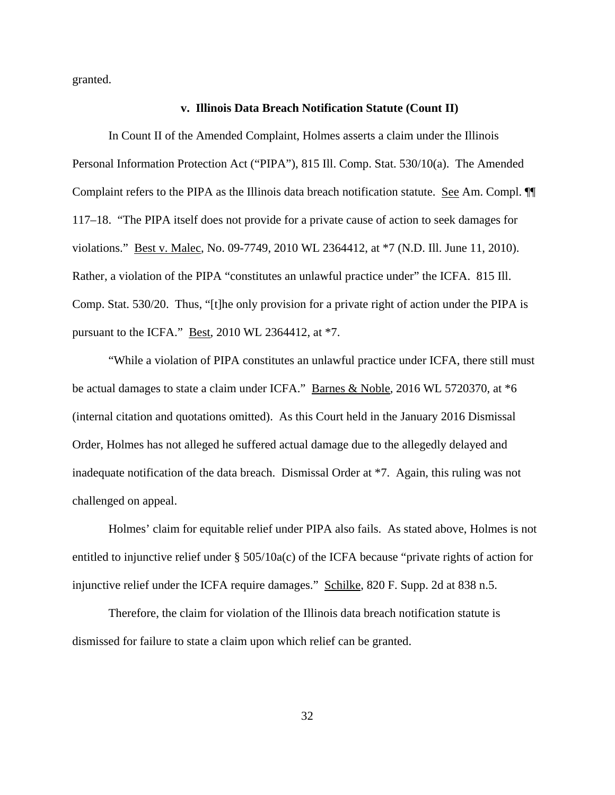granted.

### **v. Illinois Data Breach Notification Statute (Count II)**

In Count II of the Amended Complaint, Holmes asserts a claim under the Illinois Personal Information Protection Act ("PIPA"), 815 Ill. Comp. Stat. 530/10(a). The Amended Complaint refers to the PIPA as the Illinois data breach notification statute. See Am. Compl. 117–18. "The PIPA itself does not provide for a private cause of action to seek damages for violations." Best v. Malec, No. 09-7749, 2010 WL 2364412, at \*7 (N.D. Ill. June 11, 2010). Rather, a violation of the PIPA "constitutes an unlawful practice under" the ICFA. 815 Ill. Comp. Stat. 530/20. Thus, "[t]he only provision for a private right of action under the PIPA is pursuant to the ICFA." Best, 2010 WL 2364412, at \*7.

"While a violation of PIPA constitutes an unlawful practice under ICFA, there still must be actual damages to state a claim under ICFA." Barnes & Noble, 2016 WL 5720370, at  $*6$ (internal citation and quotations omitted). As this Court held in the January 2016 Dismissal Order, Holmes has not alleged he suffered actual damage due to the allegedly delayed and inadequate notification of the data breach. Dismissal Order at \*7. Again, this ruling was not challenged on appeal.

Holmes' claim for equitable relief under PIPA also fails. As stated above, Holmes is not entitled to injunctive relief under § 505/10a(c) of the ICFA because "private rights of action for injunctive relief under the ICFA require damages." Schilke, 820 F. Supp. 2d at 838 n.5.

Therefore, the claim for violation of the Illinois data breach notification statute is dismissed for failure to state a claim upon which relief can be granted.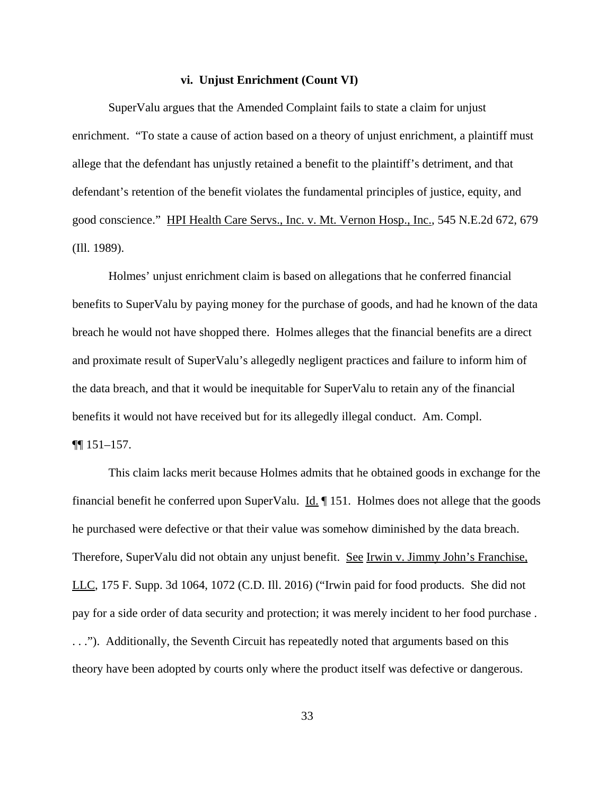#### **vi. Unjust Enrichment (Count VI)**

SuperValu argues that the Amended Complaint fails to state a claim for unjust enrichment. "To state a cause of action based on a theory of unjust enrichment, a plaintiff must allege that the defendant has unjustly retained a benefit to the plaintiff's detriment, and that defendant's retention of the benefit violates the fundamental principles of justice, equity, and good conscience." HPI Health Care Servs., Inc. v. Mt. Vernon Hosp., Inc., 545 N.E.2d 672, 679 (Ill. 1989).

Holmes' unjust enrichment claim is based on allegations that he conferred financial benefits to SuperValu by paying money for the purchase of goods, and had he known of the data breach he would not have shopped there. Holmes alleges that the financial benefits are a direct and proximate result of SuperValu's allegedly negligent practices and failure to inform him of the data breach, and that it would be inequitable for SuperValu to retain any of the financial benefits it would not have received but for its allegedly illegal conduct. Am. Compl.

# ¶¶ 151–157.

This claim lacks merit because Holmes admits that he obtained goods in exchange for the financial benefit he conferred upon SuperValu.  $\underline{Id}$ .  $\P$  151. Holmes does not allege that the goods he purchased were defective or that their value was somehow diminished by the data breach. Therefore, SuperValu did not obtain any unjust benefit. See Irwin v. Jimmy John's Franchise, LLC, 175 F. Supp. 3d 1064, 1072 (C.D. Ill. 2016) ("Irwin paid for food products. She did not pay for a side order of data security and protection; it was merely incident to her food purchase . . . ."). Additionally, the Seventh Circuit has repeatedly noted that arguments based on this theory have been adopted by courts only where the product itself was defective or dangerous.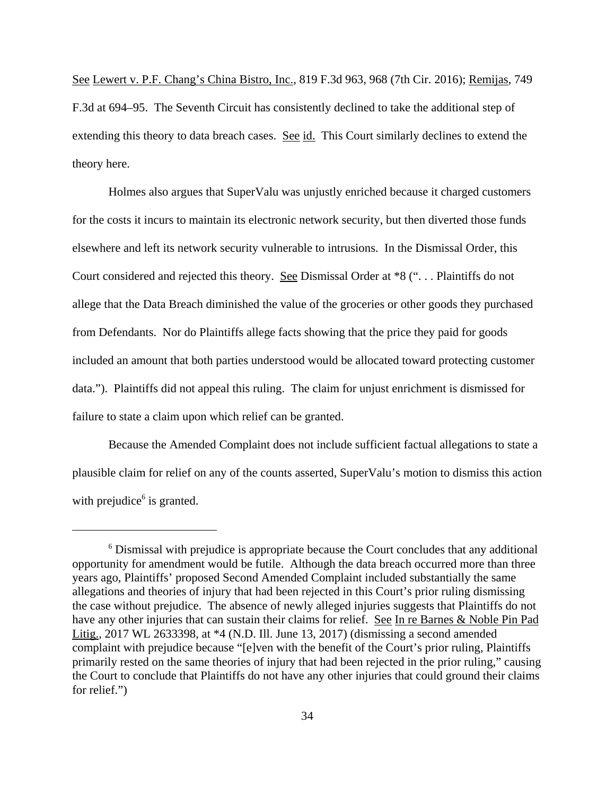See Lewert v. P.F. Chang's China Bistro, Inc., 819 F.3d 963, 968 (7th Cir. 2016); Remijas, 749 F.3d at 694–95. The Seventh Circuit has consistently declined to take the additional step of extending this theory to data breach cases. See id. This Court similarly declines to extend the theory here.

Holmes also argues that SuperValu was unjustly enriched because it charged customers for the costs it incurs to maintain its electronic network security, but then diverted those funds elsewhere and left its network security vulnerable to intrusions. In the Dismissal Order, this Court considered and rejected this theory. See Dismissal Order at \*8 (". . . Plaintiffs do not allege that the Data Breach diminished the value of the groceries or other goods they purchased from Defendants. Nor do Plaintiffs allege facts showing that the price they paid for goods included an amount that both parties understood would be allocated toward protecting customer data."). Plaintiffs did not appeal this ruling. The claim for unjust enrichment is dismissed for failure to state a claim upon which relief can be granted.

Because the Amended Complaint does not include sufficient factual allegations to state a plausible claim for relief on any of the counts asserted, SuperValu's motion to dismiss this action with prejudice<sup>6</sup> is granted.

<sup>&</sup>lt;sup>6</sup> Dismissal with prejudice is appropriate because the Court concludes that any additional opportunity for amendment would be futile. Although the data breach occurred more than three years ago, Plaintiffs' proposed Second Amended Complaint included substantially the same allegations and theories of injury that had been rejected in this Court's prior ruling dismissing the case without prejudice. The absence of newly alleged injuries suggests that Plaintiffs do not have any other injuries that can sustain their claims for relief. See In re Barnes & Noble Pin Pad Litig., 2017 WL 2633398, at \*4 (N.D. Ill. June 13, 2017) (dismissing a second amended complaint with prejudice because "[e]ven with the benefit of the Court's prior ruling, Plaintiffs primarily rested on the same theories of injury that had been rejected in the prior ruling," causing the Court to conclude that Plaintiffs do not have any other injuries that could ground their claims for relief.")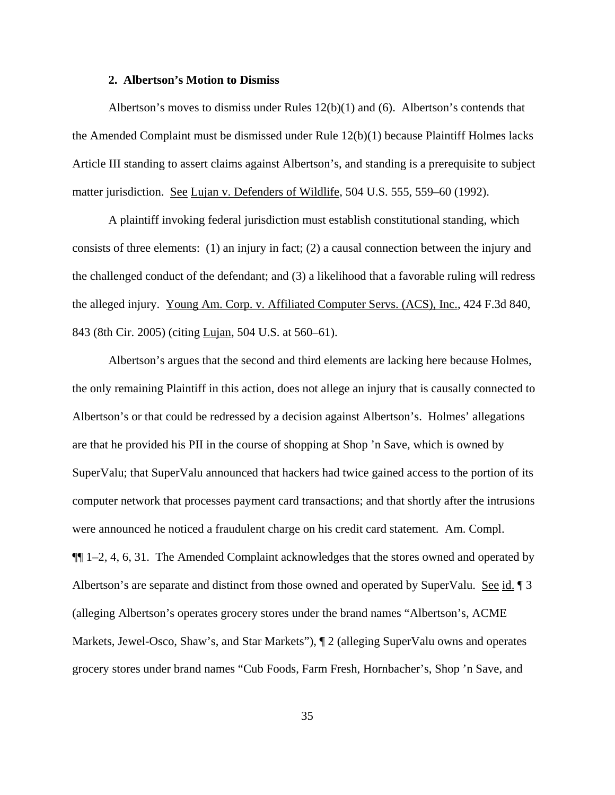### **2. Albertson's Motion to Dismiss**

Albertson's moves to dismiss under Rules 12(b)(1) and (6). Albertson's contends that the Amended Complaint must be dismissed under Rule 12(b)(1) because Plaintiff Holmes lacks Article III standing to assert claims against Albertson's, and standing is a prerequisite to subject matter jurisdiction. See Lujan v. Defenders of Wildlife, 504 U.S. 555, 559–60 (1992).

A plaintiff invoking federal jurisdiction must establish constitutional standing, which consists of three elements: (1) an injury in fact; (2) a causal connection between the injury and the challenged conduct of the defendant; and (3) a likelihood that a favorable ruling will redress the alleged injury. Young Am. Corp. v. Affiliated Computer Servs. (ACS), Inc., 424 F.3d 840, 843 (8th Cir. 2005) (citing Lujan, 504 U.S. at 560–61).

Albertson's argues that the second and third elements are lacking here because Holmes, the only remaining Plaintiff in this action, does not allege an injury that is causally connected to Albertson's or that could be redressed by a decision against Albertson's. Holmes' allegations are that he provided his PII in the course of shopping at Shop 'n Save, which is owned by SuperValu; that SuperValu announced that hackers had twice gained access to the portion of its computer network that processes payment card transactions; and that shortly after the intrusions were announced he noticed a fraudulent charge on his credit card statement. Am. Compl. ¶¶ 1–2, 4, 6, 31. The Amended Complaint acknowledges that the stores owned and operated by Albertson's are separate and distinct from those owned and operated by SuperValu. See id. 13 (alleging Albertson's operates grocery stores under the brand names "Albertson's, ACME Markets, Jewel-Osco, Shaw's, and Star Markets"), ¶ 2 (alleging SuperValu owns and operates grocery stores under brand names "Cub Foods, Farm Fresh, Hornbacher's, Shop 'n Save, and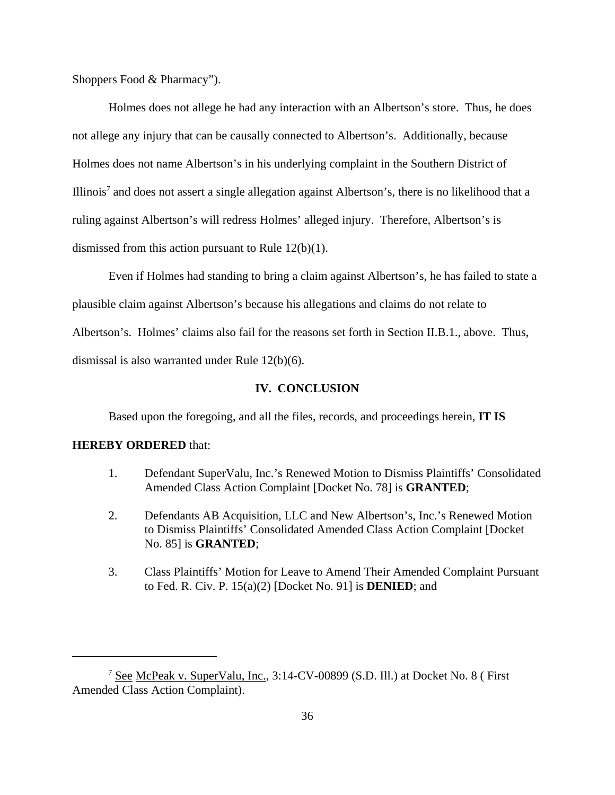Shoppers Food & Pharmacy").

Holmes does not allege he had any interaction with an Albertson's store. Thus, he does not allege any injury that can be causally connected to Albertson's. Additionally, because Holmes does not name Albertson's in his underlying complaint in the Southern District of Illinois<sup>7</sup> and does not assert a single allegation against Albertson's, there is no likelihood that a ruling against Albertson's will redress Holmes' alleged injury. Therefore, Albertson's is dismissed from this action pursuant to Rule 12(b)(1).

Even if Holmes had standing to bring a claim against Albertson's, he has failed to state a plausible claim against Albertson's because his allegations and claims do not relate to Albertson's. Holmes' claims also fail for the reasons set forth in Section II.B.1., above. Thus, dismissal is also warranted under Rule 12(b)(6).

### **IV. CONCLUSION**

Based upon the foregoing, and all the files, records, and proceedings herein, **IT IS**

### **HEREBY ORDERED** that:

- 1. Defendant SuperValu, Inc.'s Renewed Motion to Dismiss Plaintiffs' Consolidated Amended Class Action Complaint [Docket No. 78] is **GRANTED**;
- 2. Defendants AB Acquisition, LLC and New Albertson's, Inc.'s Renewed Motion to Dismiss Plaintiffs' Consolidated Amended Class Action Complaint [Docket No. 85] is **GRANTED**;
- 3. Class Plaintiffs' Motion for Leave to Amend Their Amended Complaint Pursuant to Fed. R. Civ. P. 15(a)(2) [Docket No. 91] is **DENIED**; and

<sup>&</sup>lt;sup>7</sup> See McPeak v. SuperValu, Inc., 3:14-CV-00899 (S.D. Ill.) at Docket No. 8 (First Amended Class Action Complaint).